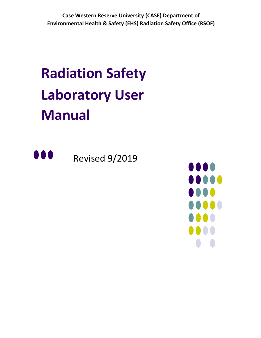# **Radiation Safety Laboratory User Manual** Revised 9/2019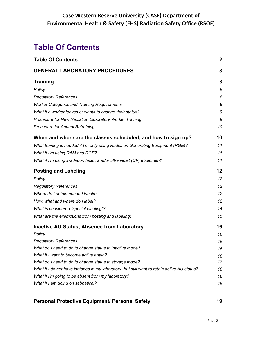# **Table Of Contents**

| <b>Table Of Contents</b>                                                                    | $\mathbf{2}$ |
|---------------------------------------------------------------------------------------------|--------------|
| <b>GENERAL LABORATORY PROCEDURES</b>                                                        | 8            |
| Training                                                                                    | 8            |
| Policy                                                                                      | 8            |
| <b>Regulatory References</b>                                                                | 8            |
| <b>Worker Categories and Training Requirements</b>                                          | 8            |
| What if a worker leaves or wants to change their status?                                    | 9            |
| Procedure for New Radiation Laboratory Worker Training                                      | 9            |
| Procedure for Annual Retraining                                                             | 10           |
| When and where are the classes scheduled, and how to sign up?                               | 10           |
| What training is needed if I'm only using Radiation Generating Equipment (RGE)?             | 11           |
| What if I'm using RAM and RGE?                                                              | 11           |
| What if I'm using irradiator, laser, and/or ultra violet (UV) equipment?                    | 11           |
| <b>Posting and Labeling</b>                                                                 | $12 \,$      |
| Policy                                                                                      | 12           |
| <b>Regulatory References</b>                                                                | 12           |
| Where do I obtain needed labels?                                                            | 12           |
| How, what and where do I label?                                                             | 12           |
| What is considered "special labeling"?                                                      | 14           |
| What are the exemptions from posting and labeling?                                          | 15           |
| <b>Inactive AU Status, Absence from Laboratory</b>                                          | 16           |
| Policy                                                                                      | 16           |
| <b>Regulatory References</b>                                                                | 16           |
| What do I need to do to change status to inactive mode?                                     | 16           |
| What if I want to become active again?                                                      | 16           |
| What do I need to do to change status to storage mode?                                      | 17           |
| What if I do not have isotopes in my laboratory, but still want to retain active AU status? | 18           |
| What if I'm going to be absent from my laboratory?                                          | 18           |
| What if I am going on sabbatical?                                                           | 18           |

#### **Personal Protective Equipment/ Personal Safety 19 19**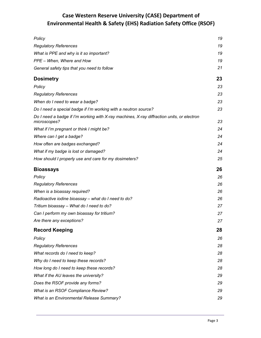| Policy                                                                                                     | 19 |
|------------------------------------------------------------------------------------------------------------|----|
| <b>Regulatory References</b>                                                                               | 19 |
| What is PPE and why is it so important?                                                                    | 19 |
| PPE - When, Where and How                                                                                  | 19 |
| General safety tips that you need to follow                                                                | 21 |
| <b>Dosimetry</b>                                                                                           | 23 |
| Policy                                                                                                     | 23 |
| <b>Regulatory References</b>                                                                               | 23 |
| When do I need to wear a badge?                                                                            | 23 |
| Do I need a special badge if I'm working with a neutron source?                                            | 23 |
| Do I need a badge if I'm working with X-ray machines, X-ray diffraction units, or electron<br>microscopes? | 23 |
| What if I'm pregnant or think I might be?                                                                  | 24 |
| Where can I get a badge?                                                                                   | 24 |
| How often are badges exchanged?                                                                            | 24 |
| What if my badge is lost or damaged?                                                                       | 24 |
| How should I properly use and care for my dosimeters?                                                      | 25 |
| <b>Bioassays</b>                                                                                           | 26 |
| Policy                                                                                                     | 26 |
| <b>Regulatory References</b>                                                                               | 26 |
| When is a bioassay required?                                                                               | 26 |
| Radioactive iodine bioassay - what do I need to do?                                                        | 26 |
| Tritium bioassay - What do I need to do?                                                                   | 27 |
| Can I perform my own bioassay for tritium?                                                                 | 27 |
| Are there any exceptions?                                                                                  | 27 |
| <b>Record Keeping</b>                                                                                      | 28 |
| Policy                                                                                                     | 26 |
| <b>Regulatory References</b>                                                                               | 28 |
| What records do I need to keep?                                                                            | 28 |
| Why do I need to keep these records?                                                                       | 28 |
| How long do I need to keep these records?                                                                  | 28 |
| What if the AU leaves the university?                                                                      | 29 |
| Does the RSOF provide any forms?                                                                           | 29 |
| What is an RSOF Compliance Review?                                                                         | 29 |
| What is an Environmental Release Summary?                                                                  | 29 |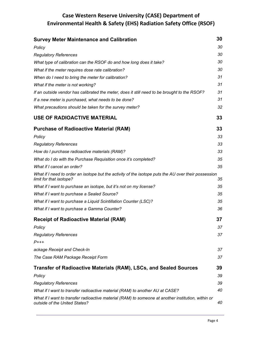| <b>Survey Meter Maintenance and Calibration</b>                                                                                     | 30 |
|-------------------------------------------------------------------------------------------------------------------------------------|----|
| Policy                                                                                                                              | 30 |
| <b>Regulatory References</b>                                                                                                        | 30 |
| What type of calibration can the RSOF do and how long does it take?                                                                 | 30 |
| What if the meter requires dose rate calibration?                                                                                   | 30 |
| When do I need to bring the meter for calibration?                                                                                  | 31 |
| What if the meter is not working?                                                                                                   | 31 |
| If an outside vendor has calibrated the meter, does it still need to be brought to the RSOF?                                        | 31 |
| If a new meter is purchased, what needs to be done?                                                                                 | 31 |
| What precautions should be taken for the survey meter?                                                                              | 32 |
| <b>USE OF RADIOACTIVE MATERIAL</b>                                                                                                  | 33 |
| <b>Purchase of Radioactive Material (RAM)</b>                                                                                       | 33 |
| Policy                                                                                                                              | 33 |
| <b>Regulatory References</b>                                                                                                        | 33 |
| How do I purchase radioactive materials (RAM)?                                                                                      | 33 |
| What do I do with the Purchase Requisition once it's completed?                                                                     | 35 |
| What if I cancel an order?                                                                                                          | 35 |
| What if I need to order an isotope but the activity of the isotope puts the AU over their possession<br>limit for that isotope?     | 35 |
| What if I want to purchase an isotope, but it's not on my license?                                                                  | 35 |
| What if I want to purchase a Sealed Source?                                                                                         | 35 |
| What if I want to purchase a Liquid Scintillation Counter (LSC)?                                                                    | 35 |
| What if I want to purchase a Gamma Counter?                                                                                         | 36 |
| <b>Receipt of Radioactive Material (RAM)</b>                                                                                        | 37 |
| Policy                                                                                                                              | 37 |
| <b>Regulatory References</b>                                                                                                        | 37 |
| P+++                                                                                                                                |    |
| ackage Receipt and Check-In                                                                                                         | 37 |
| The Case RAM Package Receipt Form                                                                                                   | 37 |
| Transfer of Radioactive Materials (RAM), LSCs, and Sealed Sources                                                                   | 39 |
| Policy                                                                                                                              | 39 |
| <b>Regulatory References</b>                                                                                                        | 39 |
| What if I want to transfer radioactive material (RAM) to another AU at CASE?                                                        | 40 |
| What if I want to transfer radioactive material (RAM) to someone at another institution, within or<br>outside of the United States? | 40 |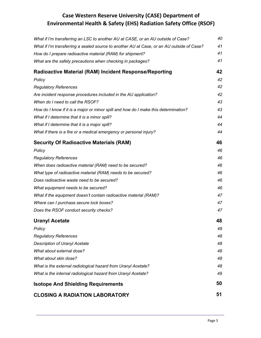| What if I'm transferring an LSC to another AU at CASE, or an AU outside of Case?          | 40 |
|-------------------------------------------------------------------------------------------|----|
| What if I'm transferring a sealed source to another AU at Case, or an AU outside of Case? | 41 |
| How do I prepare radioactive material (RAM) for shipment?                                 | 41 |
| What are the safety precautions when checking in packages?                                | 41 |
| <b>Radioactive Material (RAM) Incident Response/Reporting</b>                             | 42 |
| Policy                                                                                    | 42 |
| <b>Regulatory References</b>                                                              | 42 |
| Are incident response procedures included in the AU application?                          | 42 |
| When do I need to call the RSOF?                                                          | 43 |
| How do I know if it is a major or minor spill and how do I make this determination?       | 43 |
| What if I determine that it is a minor spill?                                             | 44 |
| What if I determine that it is a major spill?                                             | 44 |
| What if there is a fire or a medical emergency or personal injury?                        | 44 |
| <b>Security Of Radioactive Materials (RAM)</b>                                            | 46 |
| Policy                                                                                    | 46 |
| <b>Regulatory References</b>                                                              | 46 |
| When does radioactive material (RAM) need to be secured?                                  | 46 |
| What type of radioactive material (RAM) needs to be secured?                              | 46 |
| Does radioactive waste need to be secured?                                                | 46 |
| What equipment needs to be secured?                                                       | 46 |
| What if the equipment doesn't contain radioactive material (RAM)?                         | 47 |
| Where can I purchase secure lock boxes?                                                   | 47 |
| Does the RSOF conduct security checks?                                                    | 47 |
| <b>Uranyl Acetate</b>                                                                     | 48 |
| Policy                                                                                    | 48 |
| <b>Regulatory References</b>                                                              | 48 |
| <b>Description of Uranyl Acetate</b>                                                      | 48 |
| What about external dose?                                                                 | 48 |
| What about skin dose?                                                                     | 48 |
| What is the external radiological hazard from Uranyl Acetate?                             | 48 |
| What is the internal radiological hazard from Uranyl Acetate?                             | 49 |
| <b>Isotope And Shielding Requirements</b>                                                 | 50 |
| <b>CLOSING A RADIATION LABORATORY</b>                                                     | 51 |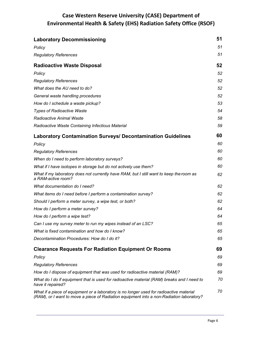| <b>Laboratory Decommissioning</b>                                                                                                                                                   | 51 |
|-------------------------------------------------------------------------------------------------------------------------------------------------------------------------------------|----|
| Policy                                                                                                                                                                              | 51 |
| <b>Regulatory References</b>                                                                                                                                                        | 51 |
| <b>Radioactive Waste Disposal</b>                                                                                                                                                   | 52 |
| Policy                                                                                                                                                                              | 52 |
| <b>Regulatory References</b>                                                                                                                                                        | 52 |
| What does the AU need to do?                                                                                                                                                        | 52 |
| General waste handling procedures                                                                                                                                                   | 52 |
| How do I schedule a waste pickup?                                                                                                                                                   | 53 |
| <b>Types of Radioactive Waste</b>                                                                                                                                                   | 54 |
| <b>Radioactive Animal Waste</b>                                                                                                                                                     | 58 |
| Radioactive Waste Containing Infectious Material                                                                                                                                    | 59 |
| <b>Laboratory Contamination Surveys/ Decontamination Guidelines</b>                                                                                                                 | 60 |
| Policy                                                                                                                                                                              | 60 |
| <b>Regulatory References</b>                                                                                                                                                        | 60 |
| When do I need to perform laboratory surveys?                                                                                                                                       | 60 |
| What if I have isotopes in storage but do not actively use them?                                                                                                                    | 60 |
| What if my laboratory does not currently have RAM, but I still want to keep the room as<br>a RAM-active room?                                                                       | 62 |
| What documentation do I need?                                                                                                                                                       | 62 |
| What items do I need before I perform a contamination survey?                                                                                                                       | 62 |
| Should I perform a meter survey, a wipe test, or both?                                                                                                                              | 62 |
| How do I perform a meter survey?                                                                                                                                                    | 64 |
| How do I perform a wipe test?                                                                                                                                                       | 64 |
| Can I use my survey meter to run my wipes instead of an LSC?                                                                                                                        | 65 |
| What is fixed contamination and how do I know?                                                                                                                                      | 65 |
| Decontamination Procedures: How do I do it?                                                                                                                                         | 65 |
| <b>Clearance Requests For Radiation Equipment Or Rooms</b>                                                                                                                          | 69 |
| Policy                                                                                                                                                                              | 69 |
| <b>Regulatory References</b>                                                                                                                                                        | 69 |
| How do I dispose of equipment that was used for radioactive material (RAM)?                                                                                                         | 69 |
| What do I do if equipment that is used for radioactive material (RAM) breaks and I need to<br>have it repaired?                                                                     | 70 |
| What if a piece of equipment or a laboratory is no longer used for radioactive material<br>(RAM), or I want to move a piece of Radiation equipment into a non-Radiation laboratory? | 70 |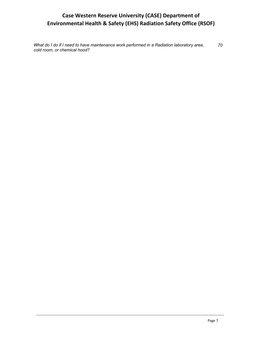*What do I do if I need to have maintenance work performed in a Radiation laboratory area, 70 cold room, or chemical hood?*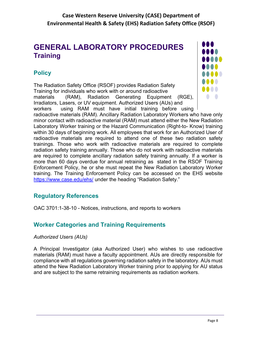# **GENERAL LABORATORY PROCEDURES Training**

# **Policy**

The Radiation Safety Office (RSOF) provides Radiation Safety Training for individuals who work with or around radioactive materials (RAM), Radiation Generating Equipment (RGE), Irradiators, Lasers, or UV equipment. Authorized Users (AUs) and workers using RAM must have initial training before using



radioactive materials (RAM). Ancillary Radiation Laboratory Workers who have only minor contact with radioactive material (RAM) must attend either the New Radiation Laboratory Worker training or the Hazard Communication (Right-to- Know) training within 30 days of beginning work. All employees that work for an Authorized User of radioactive materials are required to attend one of these two radiation safety trainings. Those who work with radioactive materials are required to complete radiation safety training annually. Those who do not work with radioactive materials are required to complete ancillary radiation safety training annually. If a worker is more than 60 days overdue for annual retraining as stated in the RSOF Training Enforcement Policy, he or she must repeat the New Radiation Laboratory Worker training. The Training Enforcement Policy can be accessed on the EHS website https://www.case.edu/ehs/ under the heading "Radiation Safety."

# **Regulatory References**

OAC 3701:1-38-10 - Notices, instructions, and reports to workers

# **Worker Categories and Training Requirements**

#### *Authorized Users (AUs)*

A Principal Investigator (aka Authorized User) who wishes to use radioactive materials (RAM) must have a faculty appointment. AUs are directly responsible for compliance with all regulations governing radiation safety in the laboratory. AUs must attend the New Radiation Laboratory Worker training prior to applying for AU status and are subject to the same retraining requirements as radiation workers.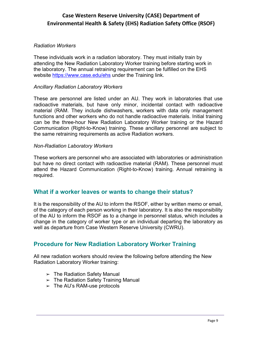#### *Radiation Workers*

These individuals work in a radiation laboratory. They must initially train by attending the New Radiation Laboratory Worker training before starting work in the laboratory. The annual retraining requirement can be fulfilled on the EHS website https://www.case.edu/ehs under the Training link.

#### *Ancillary Radiation Laboratory Workers*

These are personnel are listed under an AU. They work in laboratories that use radioactive materials, but have only minor, incidental contact with radioactive material (RAM. They include dishwashers, workers with data only management functions and other workers who do not handle radioactive materials. Initial training can be the three-hour New Radiation Laboratory Worker training or the Hazard Communication (Right-to-Know) training. These ancillary personnel are subject to the same retraining requirements as active Radiation workers.

#### *Non-Radiation Laboratory Workers*

These workers are personnel who are associated with laboratories or administration but have no direct contact with radioactive material (RAM). These personnel must attend the Hazard Communication (Right-to-Know) training. Annual retraining is required.

## **What if a worker leaves or wants to change their status?**

It is the responsibility of the AU to inform the RSOF, either by written memo or email, of the category of each person working in their laboratory. It is also the responsibility of the AU to inform the RSOF as to a change in personnel status, which includes a change in the category of worker type or an individual departing the laboratory as well as departure from Case Western Reserve University (CWRU).

### **Procedure for New Radiation Laboratory Worker Training**

All new radiation workers should review the following before attending the New Radiation Laboratory Worker training:

- $\geq$  The Radiation Safety Manual
- $\geq$  The Radiation Safety Training Manual
- $\geq$  The AU's RAM-use protocols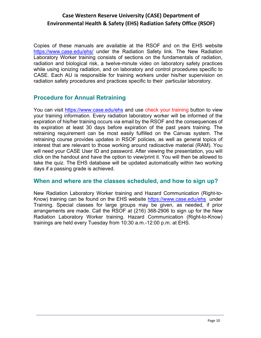Copies of these manuals are available at the RSOF and on the EHS website https://www.case.edu/ehs/ under the Radiation Safety link. The New Radiation Laboratory Worker training consists of sections on the fundamentals of radiation, radiation and biological risk, a twelve-minute video on laboratory safety practices while using ionizing radiation, and on laboratory and control procedures specific to CASE. Each AU is responsible for training workers under his/her supervision on radiation safety procedures and practices specific to their particular laboratory.

## **Procedure for Annual Retraining**

You can visit https://www.case.edu/ehs and use check your training button to view your training information. Every radiation laboratory worker will be informed of the expiration of his/her training occurs via email by the RSOF and the consequences of its expiration at least 30 days before expiration of the past years training. The retraining requirement can be most easily fulfilled on the Canvas system. The retraining course provides updates in RSOF policies, as well as general topics of interest that are relevant to those working around radioactive material (RAM). You will need your CASE User ID and password. After viewing the presentation, you will click on the handout and have the option to view/print it. You will then be allowed to take the quiz. The EHS database will be updated automatically within two working days if a passing grade is achieved.

### **When and where are the classes scheduled, and how to sign up?**

New Radiation Laboratory Worker training and Hazard Communication (Right-to-Know) training can be found on the EHS website https://www.case.edu/ehs under Training. Special classes for large groups may be given, as needed, if prior arrangements are made. Call the RSOF at (216) 368-2906 to sign up for the New Radiation Laboratory Worker training. Hazard Communication (Right-to-Know) trainings are held every Tuesday from 10:30 a.m.-12:00 p.m. at EHS.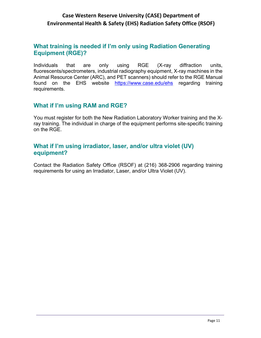## **What training is needed if I'm only using Radiation Generating Equipment (RGE)?**

Individuals that are only using RGE (X-ray diffraction units, fluorescents/spectrometers, industrial radiography equipment, X-ray machines in the Animal Resource Center (ARC), and PET scanners) should refer to the RGE Manual found on the EHS website https://www.case.edu/ehs regarding training requirements.

## **What if I'm using RAM and RGE?**

You must register for both the New Radiation Laboratory Worker training and the Xray training. The individual in charge of the equipment performs site-specific training on the RGE.

#### **What if I'm using irradiator, laser, and/or ultra violet (UV) equipment?**

Contact the Radiation Safety Office (RSOF) at (216) 368-2906 regarding training requirements for using an Irradiator, Laser, and/or Ultra Violet (UV).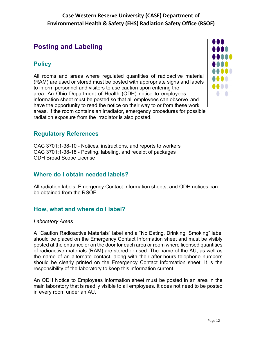# **Posting and Labeling**

# **Policy**

All rooms and areas where regulated quantities of radioactive material (RAM) are used or stored must be posted with appropriate signs and labels to inform personnel and visitors to use caution upon entering the area. An Ohio Department of Health (ODH) notice to employees information sheet must be posted so that all employees can observe and have the opportunity to read the notice on their way to or from these work areas. If the room contains an irradiator, emergency procedures for possible radiation exposure from the irradiator is also posted.



### **Regulatory References**

OAC 3701:1-38-10 - Notices, instructions, and reports to workers OAC 3701:1-38-18 - Posting, labeling, and receipt of packages ODH Broad Scope License

### **Where do I obtain needed labels?**

All radiation labels, Emergency Contact Information sheets, and ODH notices can be obtained from the RSOF.

# **How, what and where do I label?**

#### *Laboratory Areas*

A "Caution Radioactive Materials" label and a "No Eating, Drinking, Smoking" label should be placed on the Emergency Contact Information sheet and must be visibly posted at the entrance or on the door for each area or room where licensed quantities of radioactive materials (RAM) are stored or used. The name of the AU, as well as the name of an alternate contact, along with their after-hours telephone numbers should be clearly printed on the Emergency Contact Information sheet. It is the responsibility of the laboratory to keep this information current.

An ODH Notice to Employees information sheet must be posted in an area in the main laboratory that is readily visible to all employees. It does not need to be posted in every room under an AU.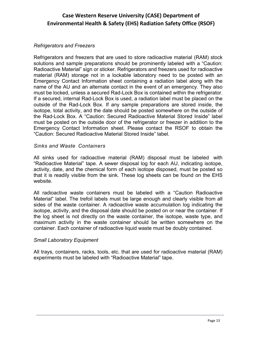#### *Refrigerators and Freezers*

Refrigerators and freezers that are used to store radioactive material (RAM) stock solutions and sample preparations should be prominently labeled with a "Caution: Radioactive Material" sign or sticker. Refrigerators and freezers used for radioactive material (RAM) storage not in a lockable laboratory need to be posted with an Emergency Contact Information sheet containing a radiation label along with the name of the AU and an alternate contact in the event of an emergency. They also must be locked, unless a secured Rad-Lock Box is contained within the refrigerator. If a secured, internal Rad-Lock Box is used, a radiation label must be placed on the outside of the Rad-Lock Box. If any sample preparations are stored inside, the isotope, total activity, and the date should be posted somewhere on the outside of the Rad-Lock Box. A "Caution: Secured Radioactive Material Stored Inside" label must be posted on the outside door of the refrigerator or freezer in addition to the Emergency Contact Information sheet. Please contact the RSOF to obtain the "Caution: Secured Radioactive Material Stored Inside" label.

#### *Sinks and Waste Containers*

All sinks used for radioactive material (RAM) disposal must be labeled with "Radioactive Material" tape. A sewer disposal log for each AU, indicating isotope, activity, date, and the chemical form of each isotope disposed, must be posted so that it is readily visible from the sink. These log sheets can be found on the EHS website.

All radioactive waste containers must be labeled with a "Caution Radioactive Material" label. The trefoil labels must be large enough and clearly visible from all sides of the waste container. A radioactive waste accumulation log indicating the isotope, activity, and the disposal date should be posted on or near the container. If the log sheet is not directly on the waste container, the isotope, waste type, and maximum activity in the waste container should be written somewhere on the container. Each container of radioactive liquid waste must be doubly contained.

#### *Small Laboratory Equipment*

All trays, containers, racks, tools, etc. that are used for radioactive material (RAM) experiments must be labeled with "Radioactive Material" tape.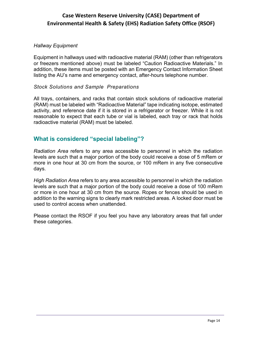#### *Hallway Equipment*

Equipment in hallways used with radioactive material (RAM) (other than refrigerators or freezers mentioned above) must be labeled "Caution Radioactive Materials." In addition, these items must be posted with an Emergency Contact Information Sheet listing the AU's name and emergency contact, after-hours telephone number.

#### *Stock Solutions and Sample Preparations*

All trays, containers, and racks that contain stock solutions of radioactive material (RAM) must be labeled with "Radioactive Material" tape indicating isotope, estimated activity, and reference date if it is stored in a refrigerator or freezer. While it is not reasonable to expect that each tube or vial is labeled, each tray or rack that holds radioactive material (RAM) must be labeled.

# **What is considered "special labeling"?**

*Radiation Area* refers to any area accessible to personnel in which the radiation levels are such that a major portion of the body could receive a dose of 5 mRem or more in one hour at 30 cm from the source, or 100 mRem in any five consecutive days.

*High Radiation Area* refers to any area accessible to personnel in which the radiation levels are such that a major portion of the body could receive a dose of 100 mRem or more in one hour at 30 cm from the source. Ropes or fences should be used in addition to the warning signs to clearly mark restricted areas. A locked door must be used to control access when unattended.

Please contact the RSOF if you feel you have any laboratory areas that fall under these categories.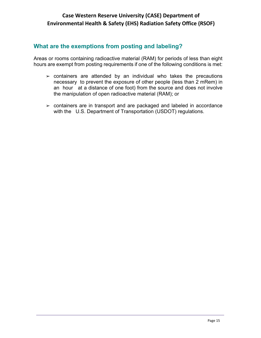# **What are the exemptions from posting and labeling?**

Areas or rooms containing radioactive material (RAM) for periods of less than eight hours are exempt from posting requirements if one of the following conditions is met:

- $\ge$  containers are attended by an individual who takes the precautions necessary to prevent the exposure of other people (less than 2 mRem) in an hour at a distance of one foot) from the source and does not involve the manipulation of open radioactive material (RAM); or
- ➢ containers are in transport and are packaged and labeled in accordance with the U.S. Department of Transportation (USDOT) regulations.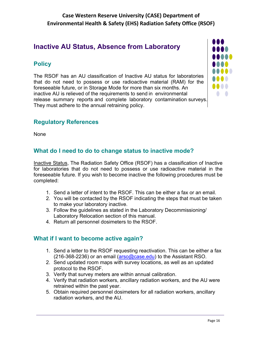# **Inactive AU Status, Absence from Laboratory**

# **Policy**

The RSOF has an AU classification of Inactive AU status for laboratories that do not need to possess or use radioactive material (RAM) for the foreseeable future, or in Storage Mode for more than six months. An inactive AU is relieved of the requirements to send in environmental release summary reports and complete laboratory contamination surveys. They must adhere to the annual retraining policy.



# **Regulatory References**

None

# **What do I need to do to change status to inactive mode?**

Inactive Status, The Radiation Safety Office (RSOF) has a classification of Inactive for laboratories that do not need to possess or use radioactive material in the foreseeable future. If you wish to become inactive the following procedures must be completed:

- 1. Send a letter of intent to the RSOF. This can be either a fax or an email.
- 2. You will be contacted by the RSOF indicating the steps that must be taken to make your laboratory inactive.
- 3. Follow the guidelines as stated in the Laboratory Decommissioning/ Laboratory Relocation section of this manual.
- 4. Return all personnel dosimeters to the RSOF.

### **What if I want to become active again?**

- 1. Send a letter to the RSOF requesting reactivation. This can be either a fax  $(216-368-2236)$  or an email  $(arso@case.edu)$  to the Assistant RSO.
- 2. Send updated room maps with survey locations, as well as an updated protocol to the RSOF.
- 3. Verify that survey meters are within annual calibration.
- 4. Verify that radiation workers, ancillary radiation workers, and the AU were retrained within the past year.
- 5. Obtain required personnel dosimeters for all radiation workers, ancillary radiation workers, and the AU.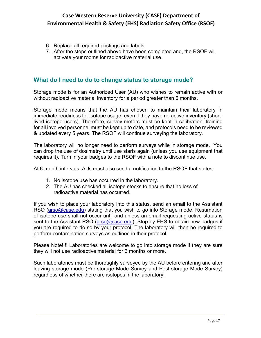- 6. Replace all required postings and labels.
- 7. After the steps outlined above have been completed and, the RSOF will activate your rooms for radioactive material use.

## **What do I need to do to change status to storage mode?**

Storage mode is for an Authorized User (AU) who wishes to remain active with or without radioactive material inventory for a period greater than 6 months.

Storage mode means that the AU has chosen to maintain their laboratory in immediate readiness for isotope usage, even if they have no active inventory (shortlived isotope users). Therefore, survey meters must be kept in calibration, training for all involved personnel must be kept up to date, and protocols need to be reviewed & updated every 5 years. The RSOF will continue surveying the laboratory.

The laboratory will no longer need to perform surveys while in storage mode. You can drop the use of dosimetry until use starts again (unless you use equipment that requires it). Turn in your badges to the RSOF with a note to discontinue use.

At 6-month intervals, AUs must also send a notification to the RSOF that states:

- 1. No isotope use has occurred in the laboratory.
- 2. The AU has checked all isotope stocks to ensure that no loss of radioactive material has occurred.

If you wish to place your laboratory into this status, send an email to the Assistant RSO (arso@case.edu) stating that you wish to go into Storage mode. Resumption of isotope use shall not occur until and unless an email requesting active status is sent to the Assistant RSO (arso@case.edu). Stop by EHS to obtain new badges if you are required to do so by your protocol. The laboratory will then be required to perform contamination surveys as outlined in their protocol.

Please Note!!!! Laboratories are welcome to go into storage mode if they are sure they will not use radioactive material for 6 months or more.

Such laboratories must be thoroughly surveyed by the AU before entering and after leaving storage mode (Pre-storage Mode Survey and Post-storage Mode Survey) regardless of whether there are isotopes in the laboratory.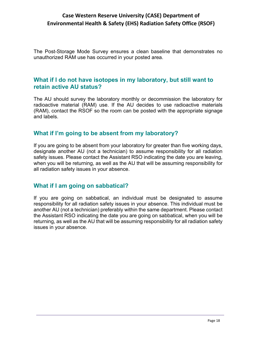The Post-Storage Mode Survey ensures a clean baseline that demonstrates no unauthorized RAM use has occurred in your posted area.

## **What if I do not have isotopes in my laboratory, but still want to retain active AU status?**

The AU should survey the laboratory monthly or decommission the laboratory for radioactive material (RAM) use. If the AU decides to use radioactive materials (RAM), contact the RSOF so the room can be posted with the appropriate signage and labels.

### **What if I'm going to be absent from my laboratory?**

If you are going to be absent from your laboratory for greater than five working days, designate another AU (not a technician) to assume responsibility for all radiation safety issues. Please contact the Assistant RSO indicating the date you are leaving, when you will be returning, as well as the AU that will be assuming responsibility for all radiation safety issues in your absence.

### **What if I am going on sabbatical?**

If you are going on sabbatical, an individual must be designated to assume responsibility for all radiation safety issues in your absence. This individual must be another AU (not a technician) preferably within the same department. Please contact the Assistant RSO indicating the date you are going on sabbatical, when you will be returning, as well as the AU that will be assuming responsibility for all radiation safety issues in your absence.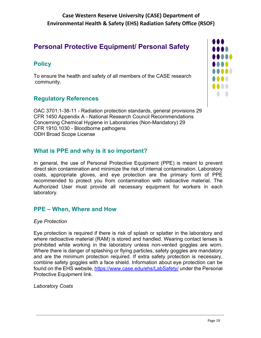# **Personal Protective Equipment/ Personal Safety**

# **Policy**

To ensure the health and safety of all members of the CASE research community.

# **Regulatory References**

OAC 3701:1-38-11 - Radiation protection standards, general provisions 29 CFR 1450 Appendix A - National Research Council Recommendations Concerning Chemical Hygiene in Laboratories (Non-Mandatory) 29 CFR 1910.1030 - Bloodborne pathogens ODH Broad Scope License

# **What is PPE and why is it so important?**

In general, the use of Personal Protective Equipment (PPE) is meant to prevent direct skin contamination and minimize the risk of internal contamination. Laboratory coats, appropriate gloves, and eye protection are the primary form of PPE recommended to protect you from contamination with radioactive material. The Authorized User must provide all necessary equipment for workers in each laboratory.

# **PPE – When, Where and How**

#### *Eye Protection*

Eye protection is required if there is risk of splash or splatter in the laboratory and where radioactive material (RAM) is stored and handled. Wearing contact lenses is prohibited while working in the laboratory unless non-vented goggles are worn. Where there is danger of splashing or flying particles, safety goggles are mandatory and are the minimum protection required. If extra safety protection is necessary, combine safety goggles with a face shield. Information about eye protection can be found on the EHS website, https://www.case.edu/ehs/LabSafety/ under the Personal Protective Equipment link.

*Laboratory Coats* 

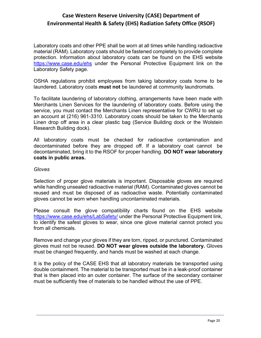Laboratory coats and other PPE shall be worn at all times while handling radioactive material (RAM). Laboratory coats should be fastened completely to provide complete protection. Information about laboratory coats can be found on the EHS website https://www.case.edu/ehs under the Personal Protective Equipment link on the Laboratory Safety page.

OSHA regulations prohibit employees from taking laboratory coats home to be laundered. Laboratory coats **must not** be laundered at community laundromats.

To facilitate laundering of laboratory clothing, arrangements have been made with Merchants Linen Services for the laundering of laboratory coats. Before using the service, you must contact the Merchants Linen representative for CWRU to set up an account at (216) 961-3310. Laboratory coats should be taken to the Merchants Linen drop off area in a clear plastic bag (Service Building dock or the Wolstein Research Building dock).

All laboratory coats must be checked for radioactive contamination and decontaminated before they are dropped off. If a laboratory coat cannot be decontaminated, bring it to the RSOF for proper handling. **DO NOT wear laboratory coats in public areas.** 

#### *Gloves*

Selection of proper glove materials is important. Disposable gloves are required while handling unsealed radioactive material (RAM). Contaminated gloves cannot be reused and must be disposed of as radioactive waste. Potentially contaminated gloves cannot be worn when handling uncontaminated materials.

Please consult the glove compatibility charts found on the EHS website https://www.case.edu/ehs/LabSafety/ under the Personal Protective Equipment link, to identify the safest gloves to wear, since one glove material cannot protect you from all chemicals.

Remove and change your gloves if they are torn, ripped, or punctured. Contaminated gloves must not be reused. **DO NOT wear gloves outside the laboratory.** Gloves must be changed frequently, and hands must be washed at each change.

It is the policy of the CASE EHS that all laboratory materials be transported using double containment. The material to be transported must be in a leak-proof container that is then placed into an outer container. The surface of the secondary container must be sufficiently free of materials to be handled without the use of PPE.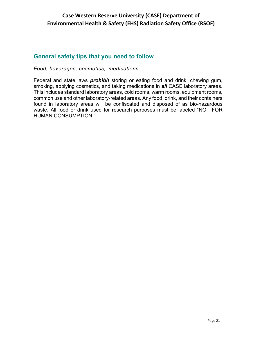### **General safety tips that you need to follow**

*Food, beverages, cosmetics, medications* 

Federal and state laws *prohibit* storing or eating food and drink, chewing gum, smoking, applying cosmetics, and taking medications in *all* CASE laboratory areas. This includes standard laboratory areas, cold rooms, warm rooms, equipment rooms, common use and other laboratory-related areas. Any food, drink, and their containers found in laboratory areas will be confiscated and disposed of as bio-hazardous waste. All food or drink used for research purposes must be labeled "NOT FOR HUMAN CONSUMPTION."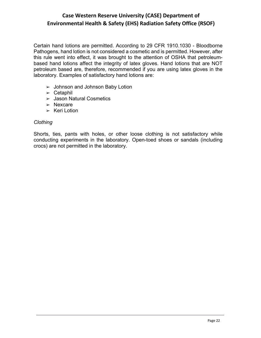Certain hand lotions are permitted. According to 29 CFR 1910.1030 - Bloodborne Pathogens, hand lotion is not considered a cosmetic and is permitted. However, after this rule went into effect, it was brought to the attention of OSHA that petroleumbased hand lotions affect the integrity of latex gloves. Hand lotions that are NOT petroleum based are, therefore, recommended if you are using latex gloves in the laboratory. Examples of satisfactory hand lotions are:

- $\blacktriangleright$  Johnson and Johnson Baby Lotion
- ➢ Cetaphil
- ➢ Jason Natural Cosmetics
- ➢ Nexcare
- $\triangleright$  Keri Lotion

#### *Clothing*

Shorts, ties, pants with holes, or other loose clothing is not satisfactory while conducting experiments in the laboratory. Open-toed shoes or sandals (including crocs) are not permitted in the laboratory.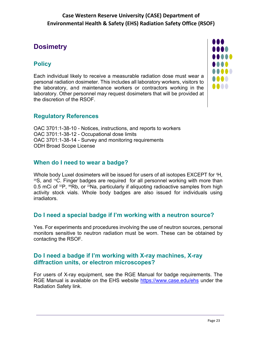# **Dosimetry**

# **Policy**

Each individual likely to receive a measurable radiation dose must wear a personal radiation dosimeter. This includes all laboratory workers, visitors to the laboratory, and maintenance workers or contractors working in the laboratory. Other personnel may request dosimeters that will be provided at the discretion of the RSOF.



# **Regulatory References**

OAC 3701:1-38-10 - Notices, instructions, and reports to workers OAC 3701:1-38-12 - Occupational dose limits OAC 3701:1-38-14 - Survey and monitoring requirements ODH Broad Scope License

# **When do I need to wear a badge?**

Whole body Luxel dosimeters will be issued for users of all isotopes  $EXCEPT$  for  ${}^{3}H$ , 35S, and <sup>14</sup>C. Finger badges are required for all personnel working with more than 0.5 mCi of  ${}^{32}P$ ,  ${}^{86}Rb$ , or  ${}^{22}Na$ , particularly if aliquoting radioactive samples from high activity stock vials. Whole body badges are also issued for individuals using irradiators.

# **Do I need a special badge if I'm working with a neutron source?**

Yes. For experiments and procedures involving the use of neutron sources, personal monitors sensitive to neutron radiation must be worn. These can be obtained by contacting the RSOF.

## **Do I need a badge if I'm working with X-ray machines, X-ray diffraction units, or electron microscopes?**

For users of X-ray equipment, see the RGE Manual for badge requirements. The RGE Manual is available on the EHS website https://www.case.edu/ehs under the Radiation Safety link.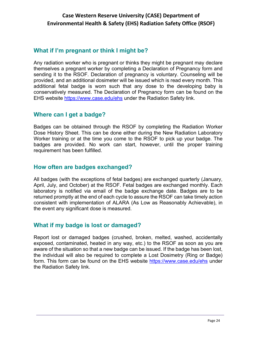# **What if I'm pregnant or think I might be?**

Any radiation worker who is pregnant or thinks they might be pregnant may declare themselves a pregnant worker by completing a Declaration of Pregnancy form and sending it to the RSOF. Declaration of pregnancy is voluntary. Counseling will be provided, and an additional dosimeter will be issued which is read every month. This additional fetal badge is worn such that any dose to the developing baby is conservatively measured. The Declaration of Pregnancy form can be found on the EHS website https://www.case.edu/ehs under the Radiation Safety link.

## **Where can I get a badge?**

Badges can be obtained through the RSOF by completing the Radiation Worker Dose History Sheet. This can be done either during the New Radiation Laboratory Worker training or at the time you come to the RSOF to pick up your badge. The badges are provided. No work can start, however, until the proper training requirement has been fulfilled.

#### **How often are badges exchanged?**

All badges (with the exceptions of fetal badges) are exchanged quarterly (January, April, July, and October) at the RSOF. Fetal badges are exchanged monthly. Each laboratory is notified via email of the badge exchange date. Badges are to be returned promptly at the end of each cycle to assure the RSOF can take timely action consistent with implementation of ALARA (As Low as Reasonably Achievable), in the event any significant dose is measured.

### **What if my badge is lost or damaged?**

Report lost or damaged badges (crushed, broken, melted, washed, accidentally exposed, contaminated, heated in any way, etc.) to the RSOF as soon as you are aware of the situation so that a new badge can be issued. If the badge has been lost, the individual will also be required to complete a Lost Dosimetry (Ring or Badge) form. This form can be found on the EHS website https://www.case.edu/ehs under the Radiation Safety link.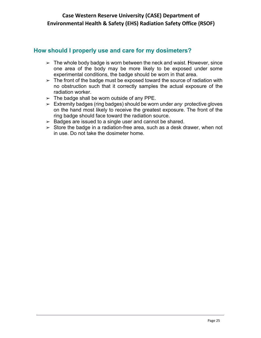## **How should I properly use and care for my dosimeters?**

- $\geq$  The whole body badge is worn between the neck and waist. However, since one area of the body may be more likely to be exposed under some experimental conditions, the badge should be worn in that area.
- $\geq$  The front of the badge must be exposed toward the source of radiation with no obstruction such that it correctly samples the actual exposure of the radiation worker.
- $\geq$  The badge shall be worn outside of any PPE.
- ➢ Extremity badges (ring badges) should be worn under *any* protective gloves on the hand most likely to receive the greatest exposure. The front of the ring badge should face toward the radiation source.
- $\geq$  Badges are issued to a single user and cannot be shared.
- $\geq$  Store the badge in a radiation-free area, such as a desk drawer, when not in use. Do not take the dosimeter home.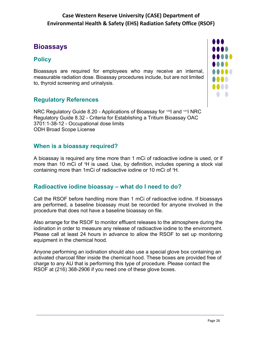# **Bioassays**

# **Policy**

Bioassays are required for employees who may receive an internal, measurable radiation dose. Bioassay procedures include, but are not limited to, thyroid screening and urinalysis.

# **Regulatory References**

NRC Regulatory Guide 8.20 - Applications of Bioassay for <sup>125</sup>l and <sup>131</sup>l NRC Regulatory Guide 8.32 - Criteria for Establishing a Tritium Bioassay OAC 3701:1-38-12 - Occupational dose limits ODH Broad Scope License

# **When is a bioassay required?**

A bioassay is required any time more than 1 mCi of radioactive iodine is used, or if more than 10 mCi of <sup>3</sup>H is used. Use, by definition, includes opening a stock vial containing more than 1mCi of radioactive iodine or 10 mCi of 3 H.

# **Radioactive iodine bioassay – what do I need to do?**

Call the RSOF before handling more than 1 mCi of radioactive iodine. If bioassays are performed, a baseline bioassay must be recorded for anyone involved in the procedure that does not have a baseline bioassay on file.

Also arrange for the RSOF to monitor effluent releases to the atmosphere during the iodination in order to measure any release of radioactive iodine to the environment. Please call at least 24 hours in advance to allow the RSOF to set up monitoring equipment in the chemical hood.

Anyone performing an iodination should also use a special glove box containing an activated charcoal filter inside the chemical hood. These boxes are provided free of charge to any AU that is performing this type of procedure. Please contact the RSOF at (216) 368-2906 if you need one of these glove boxes.

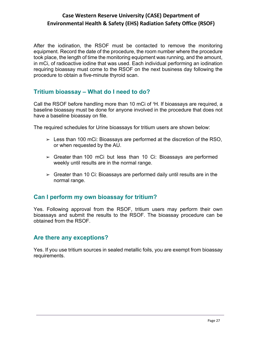After the iodination, the RSOF must be contacted to remove the monitoring equipment. Record the date of the procedure, the room number where the procedure took place, the length of time the monitoring equipment was running, and the amount, in mCi, of radioactive iodine that was used. Each individual performing an iodination requiring bioassay must come to the RSOF on the next business day following the procedure to obtain a five-minute thyroid scan.

## **Tritium bioassay – What do I need to do?**

Call the RSOF before handling more than 10 mCi of <sup>3</sup>H. If bioassays are required, a baseline bioassay must be done for anyone involved in the procedure that does not have a baseline bioassay on file.

The required schedules for Urine bioassays for tritium users are shown below:

- $\geq$  Less than 100 mCi: Bioassays are performed at the discretion of the RSO, or when requested by the AU.
- $\geq$  Greater than 100 mCi but less than 10 Ci: Bioassays are performed weekly until results are in the normal range.
- $\triangleright$  Greater than 10 Ci: Bioassays are performed daily until results are in the normal range.

# **Can I perform my own bioassay for tritium?**

Yes. Following approval from the RSOF, tritium users may perform their own bioassays and submit the results to the RSOF. The bioassay procedure can be obtained from the RSOF.

# **Are there any exceptions?**

Yes. If you use tritium sources in sealed metallic foils, you are exempt from bioassay requirements.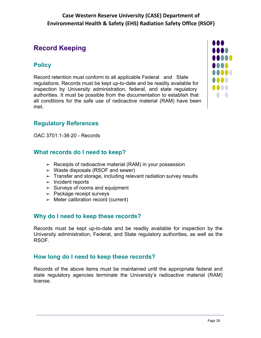# **Record Keeping**

# **Policy**

Record retention must conform to all applicable Federal and State regulations. Records must be kept up-to-date and be readily available for inspection by University administration, federal, and state regulatory authorities. It must be possible from the documentation to establish that all conditions for the safe use of radioactive material (RAM) have been met.



# **Regulatory References**

OAC 3701:1-38-20 - Records

## **What records do I need to keep?**

- $\geq$  Receipts of radioactive material (RAM) in your possession
- $\triangleright$  Waste disposals (RSOF and sewer)
- $\geq$  Transfer and storage, including relevant radiation survey results
- ➢ Incident reports
- $\geq$  Surveys of rooms and equipment
- $\geq$  Package receipt surveys
- $\geq$  Meter calibration record (current)

### **Why do I need to keep these records?**

Records must be kept up-to-date and be readily available for inspection by the University administration, Federal, and State regulatory authorities, as well as the RSOF.

### **How long do I need to keep these records?**

Records of the above items must be maintained until the appropriate federal and state regulatory agencies terminate the University's radioactive material (RAM) license.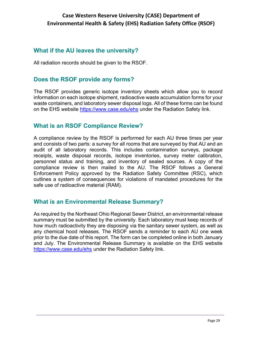# **What if the AU leaves the university?**

All radiation records should be given to the RSOF.

# **Does the RSOF provide any forms?**

The RSOF provides generic isotope inventory sheets which allow you to record information on each isotope shipment, radioactive waste accumulation forms for your waste containers, and laboratory sewer disposal logs. All of these forms can be found on the EHS website https://www.case.edu/ehs under the Radiation Safety link.

#### **What is an RSOF Compliance Review?**

A compliance review by the RSOF is performed for each AU three times per year and consists of two parts: a survey for all rooms that are surveyed by that AU and an audit of all laboratory records. This includes contamination surveys, package receipts, waste disposal records, isotope inventories, survey meter calibration, personnel status and training, and inventory of sealed sources. A copy of the compliance review is then mailed to the AU. The RSOF follows a General Enforcement Policy approved by the Radiation Safety Committee (RSC), which outlines a system of consequences for violations of mandated procedures for the safe use of radioactive material (RAM).

### **What is an Environmental Release Summary?**

As required by the Northeast Ohio Regional Sewer District, an environmental release summary must be submitted by the university. Each laboratory must keep records of how much radioactivity they are disposing via the sanitary sewer system, as well as any chemical hood releases. The RSOF sends a reminder to each AU one week prior to the due date of this report. The form can be completed online in both January and July. The Environmental Release Summary is available on the EHS website https://www.case.edu/ehs under the Radiation Safety link.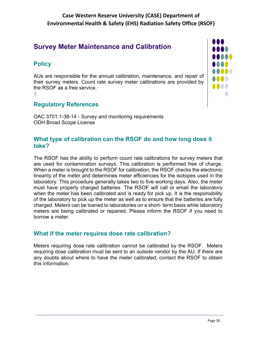# **Survey Meter Maintenance and Calibration**

# **Policy**

AUs are responsible for the annual calibration, maintenance, and repair of their survey meters. Count rate survey meter calibrations are provided by the RSOF as a free service.

# **Regulatory References**

OAC 3701:1-38-14 - Survey and monitoring requirements ODH Broad Scope License

## **What type of calibration can the RSOF do and how long does it take?**

The RSOF has the ability to perform count rate calibrations for survey meters that are used for contamination surveys. This calibration is performed free of charge. When a meter is brought to the RSOF for calibration, the RSOF checks the electronic linearity of the meter and determines meter efficiencies for the isotopes used in the laboratory. This procedure generally takes two to five working days. Also, the meter must have properly charged batteries. The RSOF will call or email the laboratory when the meter has been calibrated and is ready for pick up. It is the responsibility of the laboratory to pick up the meter as well as to ensure that the batteries are fully charged. Meters can be loaned to laboratories on a short- term basis while laboratory meters are being calibrated or repaired. Please inform the RSOF if you need to borrow a meter.

### **What if the meter requires dose rate calibration?**

Meters requiring dose rate calibration cannot be calibrated by the RSOF. Meters requiring dose calibration must be sent to an outside vendor by the AU. If there are any doubts about where to have the meter calibrated, contact the RSOF to obtain this information.

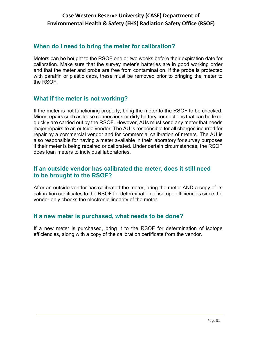## **When do I need to bring the meter for calibration?**

Meters can be bought to the RSOF one or two weeks before their expiration date for calibration. Make sure that the survey meter's batteries are in good working order and that the meter and probe are free from contamination. If the probe is protected with paraffin or plastic caps, these must be removed prior to bringing the meter to the RSOF.

## **What if the meter is not working?**

If the meter is not functioning properly, bring the meter to the RSOF to be checked. Minor repairs such as loose connections or dirty battery connections that can be fixed quickly are carried out by the RSOF. However, AUs must send any meter that needs major repairs to an outside vendor. The AU is responsible for all charges incurred for repair by a commercial vendor and for commercial calibration of meters. The AU is also responsible for having a meter available in their laboratory for survey purposes if their meter is being repaired or calibrated. Under certain circumstances, the RSOF does loan meters to individual laboratories.

## **If an outside vendor has calibrated the meter, does it still need to be brought to the RSOF?**

After an outside vendor has calibrated the meter, bring the meter AND a copy of its calibration certificates to the RSOF for determination of isotope efficiencies since the vendor only checks the electronic linearity of the meter.

### **If a new meter is purchased, what needs to be done?**

If a new meter is purchased, bring it to the RSOF for determination of isotope efficiencies, along with a copy of the calibration certificate from the vendor.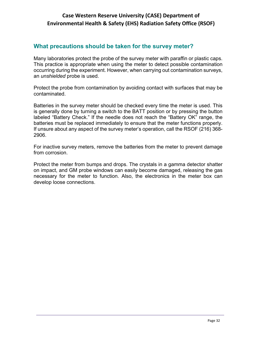## **What precautions should be taken for the survey meter?**

Many laboratories protect the probe of the survey meter with paraffin or plastic caps. This practice is appropriate when using the meter to detect possible contamination occurring during the experiment. However, when carrying out contamination surveys, an *unshielded* probe is used.

Protect the probe from contamination by avoiding contact with surfaces that may be contaminated.

Batteries in the survey meter should be checked every time the meter is used. This is generally done by turning a switch to the BATT position or by pressing the button labeled "Battery Check." If the needle does not reach the "Battery OK" range, the batteries must be replaced immediately to ensure that the meter functions properly. If unsure about any aspect of the survey meter's operation, call the RSOF (216) 368- 2906.

For inactive survey meters, remove the batteries from the meter to prevent damage from corrosion.

Protect the meter from bumps and drops. The crystals in a gamma detector shatter on impact, and GM probe windows can easily become damaged, releasing the gas necessary for the meter to function. Also, the electronics in the meter box can develop loose connections.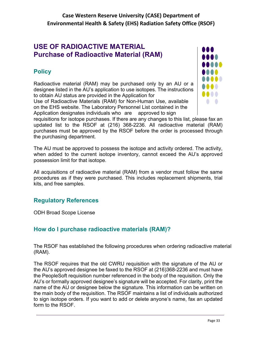# **USE OF RADIOACTIVE MATERIAL Purchase of Radioactive Material (RAM)**

# **Policy**

Radioactive material (RAM) may be purchased only by an AU or a designee listed in the AU's application to use isotopes. The instructions to obtain AU status are provided in the Application for

Use of Radioactive Materials (RAM) for Non-Human Use, available on the EHS website. The Laboratory Personnel List contained in the Application designates individuals who are approved to sign



requisitions for isotope purchases. If there are any changes to this list, please fax an updated list to the RSOF at (216) 368-2236. All radioactive material (RAM) purchases must be approved by the RSOF before the order is processed through the purchasing department.

The AU must be approved to possess the isotope and activity ordered. The activity, when added to the current isotope inventory, cannot exceed the AU's approved possession limit for that isotope.

All acquisitions of radioactive material (RAM) from a vendor must follow the same procedures as if they were purchased. This includes replacement shipments, trial kits, and free samples.

# **Regulatory References**

ODH Broad Scope License

# **How do I purchase radioactive materials (RAM)?**

The RSOF has established the following procedures when ordering radioactive material (RAM).

The RSOF requires that the old CWRU requisition with the signature of the AU or the AU's approved designee be faxed to the RSOF at (216)368-2236 and must have the PeopleSoft requisition number referenced in the body of the requisition. Only the AU's or formally approved designee's signature will be accepted. For clarity, print the name of the AU or designee below the signature. This information can be written on the main body of the requisition. The RSOF maintains a list of individuals authorized to sign isotope orders. If you want to add or delete anyone's name, fax an updated form to the RSOF.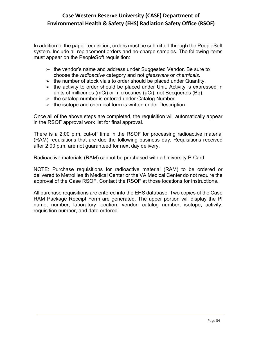In addition to the paper requisition, orders must be submitted through the PeopleSoft system. Include all replacement orders and no-charge samples. The following items must appear on the PeopleSoft requisition:

- $\geq$  the vendor's name and address under Suggested Vendor. Be sure to choose the *radioactive* category and not *glassware* or *chemicals*.
- $\triangleright$  the number of stock vials to order should be placed under Quantity.
- $\triangleright$  the activity to order should be placed under Unit. Activity is expressed in units of millicuries (mCi) or microcuries (µCi), not Becquerels (Bq).
- $\geq$  the catalog number is entered under Catalog Number.
- $\geq$  the isotope and chemical form is written under Description.

Once all of the above steps are completed, the requisition will automatically appear in the RSOF approval work list for final approval.

There is a 2:00 p.m. cut-off time in the RSOF for processing radioactive material (RAM) requisitions that are due the following business day. Requisitions received after 2:00 p.m. are not guaranteed for next day delivery.

Radioactive materials (RAM) cannot be purchased with a University P-Card.

NOTE: Purchase requisitions for radioactive material (RAM) to be ordered or delivered to MetroHealth Medical Center or the VA Medical Center do not require the approval of the Case RSOF. Contact the RSOF at those locations for instructions.

All purchase requisitions are entered into the EHS database. Two copies of the Case RAM Package Receipt Form are generated. The upper portion will display the PI name, number, laboratory location, vendor, catalog number, isotope, activity, requisition number, and date ordered.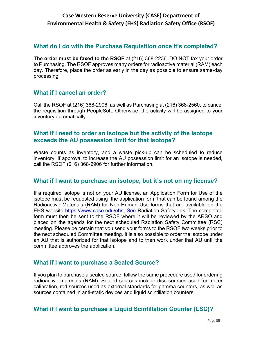## **What do I do with the Purchase Requisition once it's completed?**

**The order must be faxed to the RSOF** at (216) 368-2236. DO NOT fax your order to Purchasing. The RSOF approves many orders for radioactive material (RAM) each day. Therefore, place the order as early in the day as possible to ensure same-day processing.

### **What if I cancel an order?**

Call the RSOF at (216) 368-2906, as well as Purchasing at (216) 368-2560, to cancel the requisition through PeopleSoft. Otherwise, the activity will be assigned to your inventory automatically.

#### **What if I need to order an isotope but the activity of the isotope exceeds the AU possession limit for that isotope?**

Waste counts as inventory, and a waste pick-up can be scheduled to reduce inventory. If approval to increase the AU possession limit for an isotope is needed, call the RSOF (216) 368-2906 for further information.

#### **What if I want to purchase an isotope, but it's not on my license?**

If a required isotope is not on your AU license, an Application Form for Use of the isotope must be requested using the application form that can be found among the Radioactive Materials (RAM) for Non-Human Use forms that are available on the EHS website https://www.case.edu/ehs, See Radiation Safety link. The completed form must then be sent to the RSOF where it will be reviewed by the ARSO and placed on the agenda for the next scheduled Radiation Safety Committee (RSC) meeting. Please be certain that you send your forms to the RSOF two weeks prior to the next scheduled Committee meeting. It is also possible to order the isotope under an AU that is authorized for that isotope and to then work under that AU until the committee approves the application.

### **What if I want to purchase a Sealed Source?**

If you plan to purchase a sealed source, follow the same procedure used for ordering radioactive materials (RAM). Sealed sources include disc sources used for meter calibration, rod sources used as external standards for gamma counters, as well as sources contained in anti-static devices and liquid scintillation counters.

# **What if I want to purchase a Liquid Scintillation Counter (LSC)?**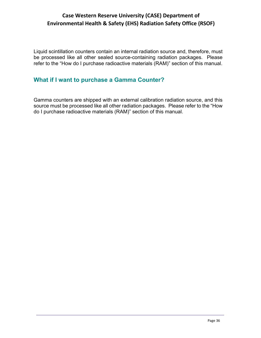Liquid scintillation counters contain an internal radiation source and, therefore, must be processed like all other sealed source-containing radiation packages. Please refer to the "How do I purchase radioactive materials (RAM)" section of this manual.

#### **What if I want to purchase a Gamma Counter?**

Gamma counters are shipped with an external calibration radiation source, and this source must be processed like all other radiation packages. Please refer to the "How do I purchase radioactive materials (RAM)" section of this manual.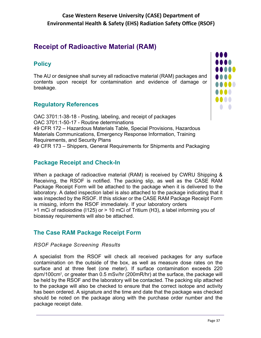# **Receipt of Radioactive Material (RAM)**

# **Policy**

The AU or designee shall survey all radioactive material (RAM) packages and contents upon receipt for contamination and evidence of damage or breakage.

# **Regulatory References**

OAC 3701:1-38-18 - Posting, labeling, and receipt of packages OAC 3701:1-50-17 - Routine determinations 49 CFR 172 – Hazardous Materials Table, Special Provisions, Hazardous Materials Communications, Emergency Response Information, Training Requirements, and Security Plans 49 CFR 173 – Shippers, General Requirements for Shipments and Packaging

# **Package Receipt and Check-In**

When a package of radioactive material (RAM) is received by CWRU Shipping & Receiving, the RSOF is notified. The packing slip, as well as the CASE RAM Package Receipt Form will be attached to the package when it is delivered to the laboratory. A dated inspection label is also attached to the package indicating that it was inspected by the RSOF. If this sticker or the CASE RAM Package Receipt Form is missing, inform the RSOF immediately. If your laboratory orders >1 mCi of radioiodine (I125) or > 10 mCi of Tritium (H3), a label informing you of bioassay requirements will also be attached.

# **The Case RAM Package Receipt Form**

#### *RSOF Package Screening Results*

A specialist from the RSOF will check all received packages for any surface contamination on the outside of the box, as well as measure dose rates on the surface and at three feet (one meter). If surface contamination exceeds 220 dpm/100cm2 , or greater than 0.5 mSv/hr (200mR/hr) at the surface, the package will be held by the RSOF and the laboratory will be contacted. The packing slip attached to the package will also be checked to ensure that the correct isotope and activity has been ordered. A signature and the time and date that the package was checked should be noted on the package along with the purchase order number and the package receipt date.

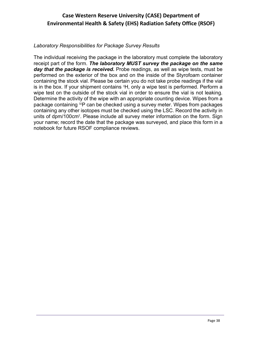#### *Laboratory Responsibilities for Package Survey Results*

The individual receiving the package in the laboratory must complete the laboratory receipt part of the form. *The laboratory MUST survey the package on the same day that the package is received***.** Probe readings, as well as wipe tests, must be performed on the exterior of the box and on the inside of the Styrofoam container containing the stock vial. Please be certain you do not take probe readings if the vial is in the box. If your shipment contains <sup>3</sup>H, only a wipe test is performed. Perform a wipe test on the outside of the stock vial in order to ensure the vial is not leaking. Determine the activity of the wipe with an appropriate counting device. Wipes from a package containing 32P can be checked using a survey meter. Wipes from packages containing any other isotopes must be checked using the LSC. Record the activity in units of dpm/100cm<sup>2</sup>. Please include all survey meter information on the form. Sign your name; record the date that the package was surveyed, and place this form in a notebook for future RSOF compliance reviews.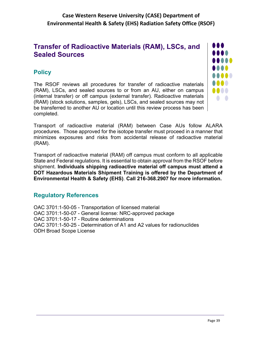# **Transfer of Radioactive Materials (RAM), LSCs, and Sealed Sources**

# **Policy**

The RSOF reviews all procedures for transfer of radioactive materials (RAM), LSCs, and sealed sources to or from an AU, either on campus (internal transfer) or off campus (external transfer). Radioactive materials (RAM) (stock solutions, samples, gels), LSCs, and sealed sources may not be transferred to another AU or location until this review process has been completed.



Transport of radioactive material (RAM) between Case AUs follow ALARA procedures. Those approved for the isotope transfer must proceed in a manner that minimizes exposures and risks from accidental release of radioactive material (RAM).

Transport of radioactive material (RAM) off campus must conform to all applicable State and Federal regulations. It is essential to obtain approval from the RSOF before shipment. **Individuals shipping radioactive material off campus must attend a DOT Hazardous Materials Shipment Training is offered by the Department of Environmental Health & Safety (EHS)**. **Call 216-368.2907 for more information.** 

# **Regulatory References**

OAC 3701:1-50-05 - Transportation of licensed material OAC 3701:1-50-07 - General license: NRC-approved package OAC 3701:1-50-17 - Routine determinations OAC 3701:1-50-25 - Determination of A1 and A2 values for radionuclides ODH Broad Scope License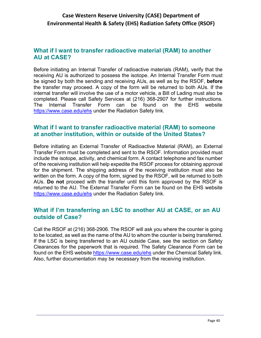## **What if I want to transfer radioactive material (RAM) to another AU at CASE?**

Before initiating an Internal Transfer of radioactive materials (RAM), verify that the receiving AU is authorized to possess the isotope. An Internal Transfer Form must be signed by both the sending and receiving AUs, as well as by the RSOF, **before**  the transfer may proceed. A copy of the form will be returned to both AUs. If the internal transfer will involve the use of a motor vehicle, a Bill of Lading must also be completed. Please call Safety Services at (216) 368-2907 for further instructions. The Internal Transfer Form can be found on the EHS website https://www.case.edu/ehs under the Radiation Safety link.

#### **What if I want to transfer radioactive material (RAM) to someone at another institution, within or outside of the United States?**

Before initiating an External Transfer of Radioactive Material (RAM), an External Transfer Form must be completed and sent to the RSOF. Information provided must include the isotope, activity, and chemical form. A contact telephone and fax number of the receiving institution will help expedite the RSOF process for obtaining approval for the shipment. The shipping address of the receiving institution must also be written on the form. A copy of the form, signed by the RSOF, will be returned to both AUs. **Do not** proceed with the transfer until this form approved by the RSOF is returned to the AU. The External Transfer Form can be found on the EHS website https://www.case.edu/ehs under the Radiation Safety link.

## **What if I'm transferring an LSC to another AU at CASE, or an AU outside of Case?**

Call the RSOF at (216) 368-2906. The RSOF will ask you where the counter is going to be located, as well as the name of the AU to whom the counter is being transferred. If the LSC is being transferred to an AU outside Case, see the section on Safety Clearances for the paperwork that is required. The Safety Clearance Form can be found on the EHS website https://www.case.edu/ehs under the Chemical Safety link. Also, further documentation may be necessary from the receiving institution.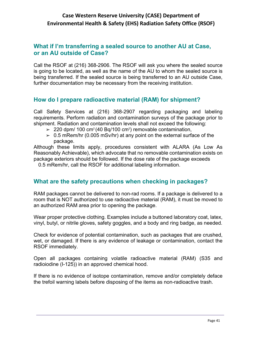## **What if I'm transferring a sealed source to another AU at Case, or an AU outside of Case?**

Call the RSOF at (216) 368-2906. The RSOF will ask you where the sealed source is going to be located, as well as the name of the AU to whom the sealed source is being transferred. If the sealed source is being transferred to an AU outside Case, further documentation may be necessary from the receiving institution.

### **How do I prepare radioactive material (RAM) for shipment?**

Call Safety Services at (216) 368-2907 regarding packaging and labeling requirements. Perform radiation and contamination surveys of the package prior to shipment. Radiation and contamination levels shall not exceed the following:

- $>$  220 dpm/ 100 cm<sup>2</sup> (40 Bq/100 cm<sup>2</sup>) removable contamination,
- $> 0.5$  mRem/hr (0.005 mSv/hr) at any point on the external surface of the package.

Although these limits apply, procedures consistent with ALARA (As Low As Reasonably Achievable), which advocate that no removable contamination exists on package exteriors should be followed. If the dose rate of the package exceeds

0.5 mRem/hr, call the RSOF for additional labeling information.

### **What are the safety precautions when checking in packages?**

RAM packages cannot be delivered to non-rad rooms. If a package is delivered to a room that is NOT authorized to use radioactive material (RAM), it must be moved to an authorized RAM area prior to opening the package.

Wear proper protective clothing. Examples include a buttoned laboratory coat, latex, vinyl, butyl, or nitrile gloves, safety goggles, and a body and ring badge, as needed.

Check for evidence of potential contamination, such as packages that are crushed, wet, or damaged. If there is any evidence of leakage or contamination, contact the RSOF immediately.

Open all packages containing volatile radioactive material (RAM) (S35 and radioiodine (I-125)) in an approved chemical hood.

If there is no evidence of isotope contamination, remove and/or completely deface the trefoil warning labels before disposing of the items as non-radioactive trash.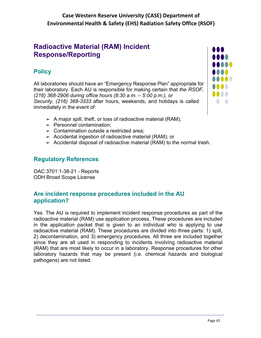# **Radioactive Material (RAM) Incident Response/Reporting**

# **Policy**

All laboratories should have an "Emergency Response Plan" appropriate for their laboratory. Each AU is responsible for making certain that *the RSOF, (216) 368-2906 during office hours (8:30 a.m. – 5:00 p.m.), or Security, (216) 368-3333* after hours, weekends, and holidays is called immediately in the event of:

- $\triangleright$  A major spill, theft, or loss of radioactive material (RAM);
- $\blacktriangleright$  Personnel contamination:
- $\geq$  Contamination outside a restricted area;
- ➢ Accidental ingestion of radioactive material (RAM); or
- $\triangleright$  Accidental disposal of radioactive material (RAM) to the normal trash.

# **Regulatory References**

OAC 3701:1-38-21 - Reports ODH Broad Scope License

# **Are incident response procedures included in the AU application?**

Yes. The AU is required to implement incident response procedures as part of the radioactive material (RAM) use application process. These procedures are included in the application packet that is given to an individual who is applying to use radioactive material (RAM). These procedures are divided into three parts: 1) spill, 2) decontamination, and 3) emergency procedures. All three are included together since they are all used in responding to incidents involving radioactive material (RAM) that are most likely to occur in a laboratory. Response procedures for other laboratory hazards that may be present (i.e. chemical hazards and biological pathogens) are not listed.

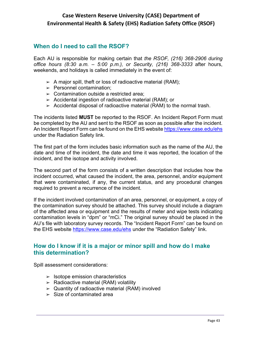# **When do I need to call the RSOF?**

Each AU is responsible for making certain that *the RSOF, (216) 368-2906 during office hours (8:30 a.m. – 5:00 p.m.), or Security, (216) 368-3333* after hours, weekends, and holidays is called immediately in the event of:

- $\triangleright$  A major spill, theft or loss of radioactive material (RAM);
- $\triangleright$  Personnel contamination:
- $\geq$  Contamination outside a restricted area;
- ➢ Accidental ingestion of radioactive material (RAM); or
- $\triangleright$  Accidental disposal of radioactive material (RAM) to the normal trash.

The incidents listed **MUST** be reported to the RSOF. An Incident Report Form must be completed by the AU and sent to the RSOF as soon as possible after the incident. An Incident Report Form can be found on the EHS website https://www.case.edu/ehs under the Radiation Safety link.

The first part of the form includes basic information such as the name of the AU, the date and time of the incident, the date and time it was reported, the location of the incident, and the isotope and activity involved.

The second part of the form consists of a written description that includes how the incident occurred, what caused the incident, the area, personnel, and/or equipment that were contaminated, if any, the current status, and any procedural changes required to prevent a recurrence of the incident.

If the incident involved contamination of an area, personnel, or equipment, a copy of the contamination survey should be attached. This survey should include a diagram of the affected area or equipment and the results of meter and wipe tests indicating contamination levels in "dpm" or "mCi." The original survey should be placed in the AU's file with laboratory survey records. The "Incident Report Form" can be found on the EHS website https://www.case.edu/ehs under the "Radiation Safety" link.

## **How do I know if it is a major or minor spill and how do I make this determination?**

Spill assessment considerations:

- $\blacktriangleright$  Isotope emission characteristics
- $\triangleright$  Radioactive material (RAM) volatility
- $\triangleright$  Quantity of radioactive material (RAM) involved
- $\geq$  Size of contaminated area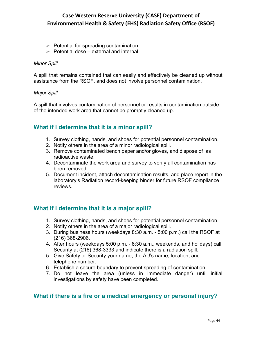- $\geq$  Potential for spreading contamination
- $\geq$  Potential dose external and internal

#### *Minor Spill*

A spill that remains contained that can easily and effectively be cleaned up without assistance from the RSOF, and does not involve personnel contamination.

#### *Major Spill*

A spill that involves contamination of personnel or results in contamination outside of the intended work area that cannot be promptly cleaned up.

#### **What if I determine that it is a minor spill?**

- 1. Survey clothing, hands, and shoes for potential personnel contamination.
- 2. Notify others in the area of a minor radiological spill.
- 3. Remove contaminated bench paper and/or gloves, and dispose of as radioactive waste.
- 4. Decontaminate the work area and survey to verify all contamination has been removed.
- 5. Document incident, attach decontamination results, and place report in the laboratory's Radiation record-keeping binder for future RSOF compliance reviews.

### **What if I determine that it is a major spill?**

- 1. Survey clothing, hands, and shoes for potential personnel contamination.
- 2. Notify others in the area of a major radiological spill.
- 3. During business hours (weekdays 8:30 a.m. 5:00 p.m.) call the RSOF at (216) 368-2906.
- 4. After hours (weekdays 5:00 p.m. 8:30 a.m., weekends, and holidays) call Security at (216) 368-3333 and indicate there is a radiation spill.
- 5. Give Safety or Security your name, the AU's name, location, and telephone number.
- 6. Establish a secure boundary to prevent spreading of contamination.
- 7. Do not leave the area (unless in immediate danger) until initial investigations by safety have been completed.

#### **What if there is a fire or a medical emergency or personal injury?**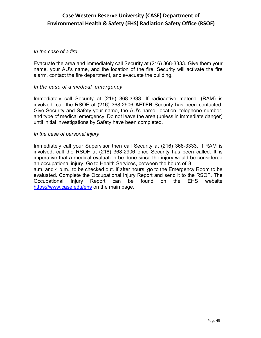#### *In the case of a fire*

Evacuate the area and immediately call Security at (216) 368-3333. Give them your name, your AU's name, and the location of the fire. Security will activate the fire alarm, contact the fire department, and evacuate the building.

#### *In the case of a medical emergency*

Immediately call Security at (216) 368-3333. If radioactive material (RAM) is involved, call the RSOF at (216) 368-2906 **AFTER** Security has been contacted. Give Security and Safety your name, the AU's name, location, telephone number, and type of medical emergency. Do not leave the area (unless in immediate danger) until initial investigations by Safety have been completed.

#### *In the case of personal injury*

Immediately call your Supervisor then call Security at (216) 368-3333. If RAM is involved, call the RSOF at (216) 368-2906 once Security has been called. It is imperative that a medical evaluation be done since the injury would be considered an occupational injury. Go to Health Services, between the hours of 8 a.m. and 4 p.m., to be checked out. If after hours, go to the Emergency Room to be evaluated. Complete the Occupational Injury Report and send it to the RSOF. The Occupational Injury Report can be found on the EHS website https://www.case.edu/ehs on the main page.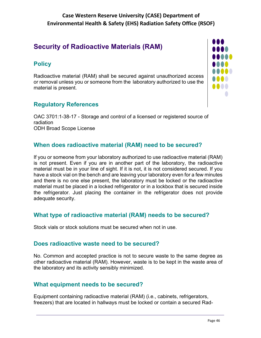# **Security of Radioactive Materials (RAM)**

# **Policy**

Radioactive material (RAM) shall be secured against unauthorized access or removal unless you or someone from the laboratory authorized to use the material is present.

# **Regulatory References**

OAC 3701:1-38-17 - Storage and control of a licensed or registered source of radiation ODH Broad Scope License

# **When does radioactive material (RAM) need to be secured?**

If you or someone from your laboratory authorized to use radioactive material (RAM) is not present. Even if you are in another part of the laboratory, the radioactive material must be in your line of sight. If it is not, it is not considered secured. If you have a stock vial on the bench and are leaving your laboratory even for a few minutes and there is no one else present, the laboratory must be locked or the radioactive material must be placed in a locked refrigerator or in a lockbox that is secured inside the refrigerator. Just placing the container in the refrigerator does not provide adequate security.

### **What type of radioactive material (RAM) needs to be secured?**

Stock vials or stock solutions must be secured when not in use.

#### **Does radioactive waste need to be secured?**

No. Common and accepted practice is not to secure waste to the same degree as other radioactive material (RAM). However, waste is to be kept in the waste area of the laboratory and its activity sensibly minimized.

### **What equipment needs to be secured?**

Equipment containing radioactive material (RAM) (i.e., cabinets, refrigerators, freezers) that are located in hallways must be locked or contain a secured Rad-

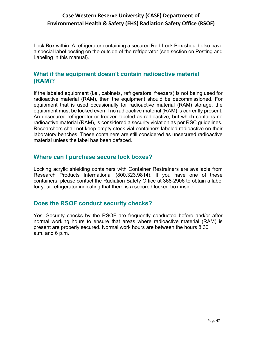Lock Box within. A refrigerator containing a secured Rad-Lock Box should also have a special label posting on the outside of the refrigerator (see section on Posting and Labeling in this manual).

## **What if the equipment doesn't contain radioactive material (RAM)?**

If the labeled equipment (i.e., cabinets, refrigerators, freezers) is not being used for radioactive material (RAM), then the equipment should be decommissioned. For equipment that is used occasionally for radioactive material (RAM) storage, the equipment must be locked even if no radioactive material (RAM) is currently present. An unsecured refrigerator or freezer labeled as radioactive, but which contains no radioactive material (RAM), is considered a security violation as per RSC guidelines. Researchers shall not keep empty stock vial containers labeled radioactive on their laboratory benches. These containers are still considered as unsecured radioactive material unless the label has been defaced.

## **Where can I purchase secure lock boxes?**

Locking acrylic shielding containers with Container Restrainers are available from Research Products International (800.323.9814). If you have one of these containers, please contact the Radiation Safety Office at 368-2906 to obtain a label for your refrigerator indicating that there is a secured locked-box inside.

### **Does the RSOF conduct security checks?**

Yes. Security checks by the RSOF are frequently conducted before and/or after normal working hours to ensure that areas where radioactive material (RAM) is present are properly secured. Normal work hours are between the hours 8:30 a.m. and 6 p.m.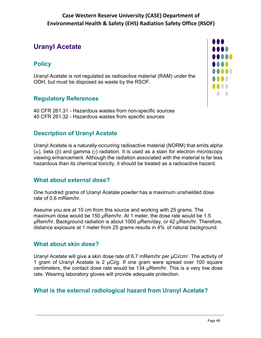# **Uranyl Acetate**

# **Policy**

Uranyl Acetate is not regulated as radioactive material (RAM) under the ODH, but must be disposed as waste by the RSOF.

# **Regulatory References**

40 CFR 261.31 - Hazardous wastes from non-specific sources 40 CFR 261.32 - Hazardous wastes from specific sources

# **Description of Uranyl Acetate**

Uranyl Acetate is a naturally-occurring radioactive material (NORM) that emits alpha  $(\alpha)$ , beta ( $\beta$ ) and gamma  $(\gamma)$  radiation. It is used as a stain for electron microscopy viewing enhancement. Although the radiation associated with the material is far less hazardous than its chemical toxicity, it should be treated as a radioactive hazard.

### **What about external dose?**

One hundred grams of Uranyl Acetate powder has a maximum unshielded dose rate of 0.6 mRem/hr.

Assume you are at 10 cm from this source and working with 25 grams. The maximum dose would be 150 µRem/hr. At 1 meter, the dose rate would be 1.5 µRem/hr. Background radiation is about 1000 µRem/day, or 42 µRem/hr. Therefore, distance exposure at 1 meter from 25 grams results in 4% of natural background.

### **What about skin dose?**

Uranyl Acetate will give a skin dose rate of 6.7 mRem/hr per µCi/cm<sup>2</sup>. The activity of 1 gram of Uranyl Acetate is 2 µCi/g. If one gram were spread over 100 square centimeters, the contact dose rate would be 134 µRem/hr. This is a very low dose rate. Wearing laboratory gloves will provide adequate protection.

# **What is the external radiological hazard from Uranyl Acetate?**

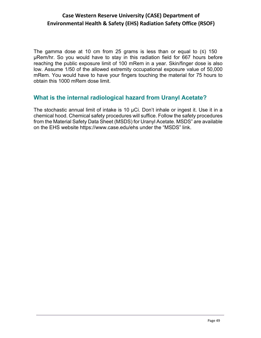The gamma dose at 10 cm from 25 grams is less than or equal to  $(≤)$  150 µRem/hr. So you would have to stay in this radiation field for 667 hours before reaching the public exposure limit of 100 mRem in a year. Skin/finger dose is also low. Assume 1/50 of the allowed extremity occupational exposure value of 50,000 mRem. You would have to have your fingers touching the material for 75 hours to obtain this 1000 mRem dose limit.

### **What is the internal radiological hazard from Uranyl Acetate?**

The stochastic annual limit of intake is 10 µCi. Don't inhale or ingest it. Use it in a chemical hood. Chemical safety procedures will suffice. Follow the safety procedures from the Material Safety Data Sheet (MSDS) for Uranyl Acetate. MSDS" are available on the EHS website https://www.case.edu/ehs under the "MSDS" link.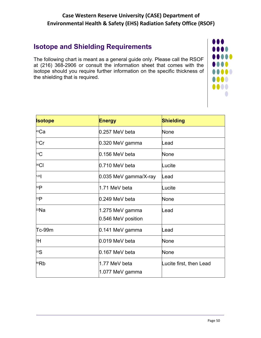# **Isotope and Shielding Requirements**

The following chart is meant as a general guide only. Please call the RSOF at (216) 368-2906 or consult the information sheet that comes with the isotope should you require further information on the specific thickness of the shielding that is required.



| <b>Isotope</b> | <b>Energy</b>          | Shielding               |  |
|----------------|------------------------|-------------------------|--|
| $45$ Ca        | 0.257 MeV beta<br>None |                         |  |
| 51Cr           | 0.320 MeV gamma        | Lead                    |  |
| 14C            | $0.156$ MeV beta       | None                    |  |
| ${}^{36}$ Cl   | 0.710 MeV beta         | Lucite                  |  |
| 125            | 0.035 MeV gamma/X-ray  | Lead                    |  |
| 32P            | 1.71 MeV beta          | Lucite                  |  |
| 33P            | 0.249 MeV beta         | None                    |  |
| $^{22}$ Na     | 1.275 MeV gamma        | Lead                    |  |
|                | 0.546 MeV position     |                         |  |
| Tc-99m         | 0.141 MeV gamma        | Lead                    |  |
| 3H             | 0.019 MeV beta         | None                    |  |
| 35S            | 0.167 MeV beta<br>None |                         |  |
| 86Rb           | 1.77 MeV beta          | Lucite first, then Lead |  |
|                | 1.077 MeV gamma        |                         |  |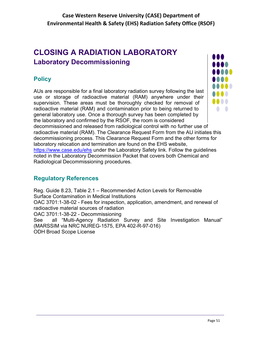# **CLOSING A RADIATION LABORATORY Laboratory Decommissioning**

# **Policy**

AUs are responsible for a final laboratory radiation survey following the last use or storage of radioactive material (RAM) anywhere under their supervision. These areas must be thoroughly checked for removal of radioactive material (RAM) and contamination prior to being returned to general laboratory use. Once a thorough survey has been completed by the laboratory and confirmed by the RSOF, the room is considered decommissioned and released from radiological control with no further use of radioactive material (RAM). The Clearance Request Form from the AU initiates this decommissioning process. This Clearance Request Form and the other forms for laboratory relocation and termination are found on the EHS website, https://www.case.edu/ehs under the Laboratory Safety link. Follow the guidelines noted in the Laboratory Decommission Packet that covers both Chemical and Radiological Decommissioning procedures.



Reg. Guide 8.23, Table 2.1 – Recommended Action Levels for Removable Surface Contamination in Medical Institutions OAC 3701:1-38-02 - Fees for inspection, application, amendment, and renewal of radioactive material sources of radiation OAC 3701:1-38-22 - Decommissioning See all "Multi-Agency Radiation Survey and Site Investigation Manual" (MARSSIM via NRC NUREG-1575, EPA 402-R-97-016) ODH Broad Scope License

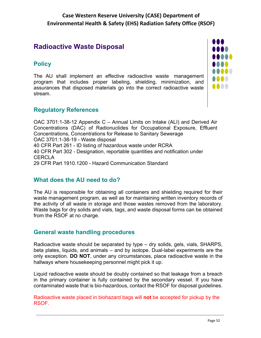# **Radioactive Waste Disposal**

# **Policy**

The AU shall implement an effective radioactive waste management program that includes proper labeling, shielding, minimization, and assurances that disposed materials go into the correct radioactive waste stream.

# **Regulatory References**

OAC 3701:1-38-12 Appendix C – Annual Limits on Intake (ALI) and Derived Air Concentrations (DAC) of Radionuclides for Occupational Exposure, Effluent Concentrations, Concentrations for Release to Sanitary Sewerage OAC 3701:1-38-19 - Waste disposal 40 CFR Part 261 - ID listing of hazardous waste under RCRA 40 CFR Part 302 - Designation, reportable quantities and notification under **CERCLA** 29 CFR Part 1910.1200 - Hazard Communication Standard

### **What does the AU need to do?**

The AU is responsible for obtaining all containers and shielding required for their waste management program, as well as for maintaining written inventory records of the activity of all waste in storage and those wastes removed from the laboratory. Waste bags for dry solids and vials, tags, and waste disposal forms can be obtained from the RSOF at no charge.

### **General waste handling procedures**

Radioactive waste should be separated by type – dry solids, gels, vials, SHARPS, beta plates, liquids, and animals – and by isotope. Dual-label experiments are the only exception. **DO NOT**, under any circumstances, place radioactive waste in the hallways where housekeeping personnel might pick it up.

Liquid radioactive waste should be doubly contained so that leakage from a breach in the primary container is fully contained by the secondary vessel. If you have contaminated waste that is bio-hazardous, contact the RSOF for disposal guidelines.

Radioactive waste placed in biohazard bags will **not** be accepted for pickup by the RSOF.

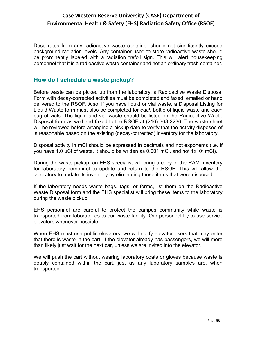Dose rates from any radioactive waste container should not significantly exceed background radiation levels. Any container used to store radioactive waste should be prominently labeled with a radiation trefoil sign. This will alert housekeeping personnel that it is a radioactive waste container and not an ordinary trash container.

#### **How do I schedule a waste pickup?**

Before waste can be picked up from the laboratory, a Radioactive Waste Disposal Form with decay-corrected activities must be completed and faxed, emailed or hand delivered to the RSOF. Also, if you have liquid or vial waste, a Disposal Listing for Liquid Waste form must also be completed for *each* bottle of liquid waste and each bag of vials. The liquid and vial waste should be listed on the Radioactive Waste Disposal form as well and faxed to the RSOF at (216) 368-2236. The waste sheet will be reviewed before arranging a pickup date to verify that the activity disposed of is reasonable based on the existing (decay-corrected) inventory for the laboratory.

Disposal activity in mCi should be expressed in decimals and not exponents (i.e. if you have 1.0  $\mu$ Ci of waste, it should be written as 0.001 mCi, and not 1x10<sup>-3</sup> mCi).

During the waste pickup, an EHS specialist will bring a copy of the RAM Inventory for laboratory personnel to update and return to the RSOF. This will allow the laboratory to update its inventory by eliminating those items that were disposed.

If the laboratory needs waste bags, tags, or forms, list them on the Radioactive Waste Disposal form and the EHS specialist will bring these items to the laboratory during the waste pickup.

EHS personnel are careful to protect the campus community while waste is transported from laboratories to our waste facility. Our personnel try to use service elevators whenever possible.

When EHS must use public elevators, we will notify elevator users that may enter that there is waste in the cart. If the elevator already has passengers, we will more than likely just wait for the next car, unless we are invited into the elevator.

We will push the cart without wearing laboratory coats or gloves because waste is doubly contained within the cart, just as any laboratory samples are, when transported.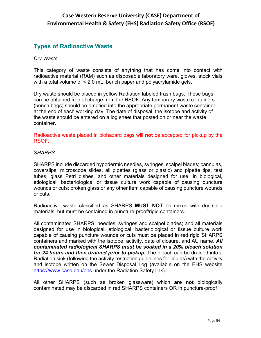# **Types of Radioactive Waste**

#### *Dry Waste*

This category of waste consists of anything that has come into contact with radioactive material (RAM) such as disposable laboratory ware, gloves, stock vials with a total volume of < 2.0 mL, bench paper and polyacrylamide gels.

Dry waste should be placed in yellow Radiation labeled trash bags. These bags can be obtained free of charge from the RSOF. Any temporary waste containers (bench bags) should be emptied into the appropriate permanent waste container at the end of each working day. The date of disposal, the isotope and activity of the waste should be entered on a log sheet that posted on or near the waste container.

Radioactive waste placed in biohazard bags will **not** be accepted for pickup by the RSOF.

#### *SHARPS*

SHARPS include discarded hypodermic needles, syringes, scalpel blades; cannulas, coverslips, microscope slides, all pipettes (glass or plastic) and pipette tips, test tubes, glass Petri dishes, and other materials designed for use in biological, etiological, bacteriological or tissue culture work capable of causing puncture wounds or cuts; broken glass or any other item capable of causing puncture wounds or cuts.

Radioactive waste classified as SHARPS **MUST NOT** be mixed with dry solid materials, but must be contained in puncture-proof/rigid containers.

All contaminated SHARPS, needles, syringes and scalpel blades; and all materials designed for use in biological, etiological, bacteriological or tissue culture work capable of causing puncture wounds or cuts must be placed in red rigid SHARPS containers and marked with the isotope, activity, date of closure, and AU name. *All contaminated radiological SHARPS must be soaked in a 20% bleach solution for 24 hours and then drained prior to pickup***.** The bleach can be drained into a Radiation sink (following the activity restriction guidelines for liquids) with the activity and isotope written on the Sewer Disposal Log (available on the EHS website https://www.case.edu/ehs under the Radiation Safety link).

All other SHARPS (such as broken glassware) which **are not** biologically contaminated may be discarded in red SHARPS containers OR in puncture-proof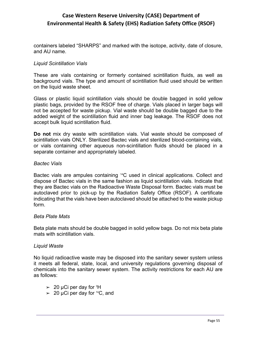containers labeled "SHARPS" and marked with the isotope, activity, date of closure, and AU name.

#### *Liquid Scintillation Vials*

These are vials containing or formerly contained scintillation fluids, as well as background vials. The type and amount of scintillation fluid used should be written on the liquid waste sheet.

Glass or plastic liquid scintillation vials should be double bagged in solid yellow plastic bags, provided by the RSOF free of charge. Vials placed in larger bags will not be accepted for waste pickup. Vial waste should be double bagged due to the added weight of the scintillation fluid and inner bag leakage. The RSOF does not accept bulk liquid scintillation fluid.

**Do not** mix dry waste with scintillation vials. Vial waste should be composed of scintillation vials ONLY. Sterilized Bactec vials and sterilized blood-containing vials, or vials containing other aqueous non-scintillation fluids should be placed in a separate container and appropriately labeled.

#### *Bactec Vials*

Bactec vials are ampules containing 14C used in clinical applications. Collect and dispose of Bactec vials in the same fashion as liquid scintillation vials. Indicate that they are Bactec vials on the Radioactive Waste Disposal form. Bactec vials must be autoclaved prior to pick-up by the Radiation Safety Office (RSOF). A certificate indicating that the vials have been autoclaved should be attached to the waste pickup form.

#### *Beta Plate Mats*

Beta plate mats should be double bagged in solid yellow bags. Do not mix beta plate mats with scintillation vials.

#### *Liquid Waste*

No liquid radioactive waste may be disposed into the sanitary sewer system unless it meets all federal, state, local, and university regulations governing disposal of chemicals into the sanitary sewer system. The activity restrictions for each AU are as follows:

- $\geq 20$  µCi per day for <sup>3</sup>H
- $>$  20 µCi per day for <sup>14</sup>C, and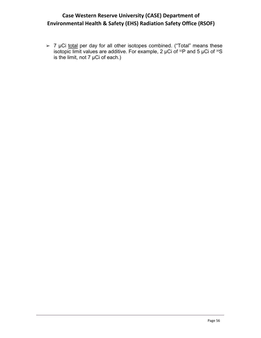➢ 7 µCi total per day for all other isotopes combined. ("Total" means these isotopic limit values are additive. For example, 2  $\mu$ Ci of  $^{32}P$  and 5  $\mu$ Ci of  $^{35}S$ is the limit, not 7 µCi of each.)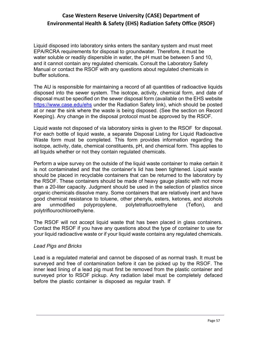Liquid disposed into laboratory sinks enters the sanitary system and must meet EPA/RCRA requirements for disposal to groundwater. Therefore, it must be water soluble or readily dispersible in water, the pH must be between 5 and 10, and it cannot contain any regulated chemicals. Consult the Laboratory Safety Manual or contact the RSOF with any questions about regulated chemicals in buffer solutions.

The AU is responsible for maintaining a record of all quantities of radioactive liquids disposed into the sewer system. The isotope, activity, chemical form, and date of disposal must be specified on the sewer disposal form (available on the EHS website https://www.case.edu/ehs under the Radiation Safety link), which should be posted at or near the sink where the waste is being disposed. (See the section on Record Keeping). Any change in the disposal protocol must be approved by the RSOF.

Liquid waste not disposed of via laboratory sinks is given to the RSOF for disposal. For each bottle of liquid waste, a separate Disposal Listing for Liquid Radioactive Waste form must be completed. This form provides information regarding the isotope, activity, date, chemical constituents, pH, and chemical form. This applies to all liquids whether or not they contain regulated chemicals.

Perform a wipe survey on the outside of the liquid waste container to make certain it is not contaminated and that the container's lid has been tightened. Liquid waste should be placed in recyclable containers that can be returned to the laboratory by the RSOF. These containers should be made of heavy gauge plastic with not more than a 20-liter capacity. Judgment should be used in the selection of plastics since organic chemicals dissolve many. Some containers that are relatively inert and have good chemical resistance to toluene, other phenyls, esters, ketones, and alcohols are unmodified polypropylene, polytetrafluoroethylene (Teflon), and polytriflourochloroethylene.

The RSOF will not accept liquid waste that has been placed in glass containers. Contact the RSOF if you have any questions about the type of container to use for your liquid radioactive waste or if your liquid waste contains any regulated chemicals.

#### *Lead Pigs and Bricks*

Lead is a regulated material and cannot be disposed of as normal trash. It must be surveyed and free of contamination before it can be picked up by the RSOF. The inner lead lining of a lead pig must first be removed from the plastic container and surveyed prior to RSOF pickup. Any radiation label must be completely defaced before the plastic container is disposed as regular trash. If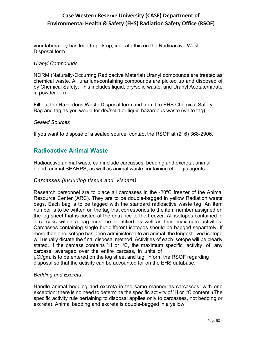your laboratory has lead to pick up, indicate this on the Radioactive Waste Disposal form.

#### *Uranyl Compounds*

NORM (Naturally-Occurring Radioactve Material) Uranyl compounds are treated as chemical waste. All uranium-containing compounds are picked up and disposed of by Chemical Safety. This includes liquid, dry/solid waste, and Uranyl Acetate/nitrate in powder form.

Fill out the Hazardous Waste Disposal form and turn it to EHS Chemical Safety. Bag and tag as you would for dry/solid or liquid hazardous waste (white tag).

#### *Sealed Sources*

If you want to dispose of a sealed source, contact the RSOF at (216) 368-2906.

## **Radioactive Animal Waste**

Radioactive animal waste can include carcasses, bedding and excreta, animal blood, animal SHARPS, as well as animal waste containing etiologic agents.

#### *Carcasses (including tissue and viscera)*

Research personnel are to place all carcasses in the -20ºC freezer of the Animal Resource Center (ARC). They are to be double-bagged in yellow Radiation waste bags. Each bag is to be tagged with the standard radioactive waste tag. An item number is to be written on the tag that corresponds to the item number assigned on the log sheet that is posted at the entrance to the freezer. All isotopes contained in a carcass within a bag must be identified as well as their maximum activities. Carcasses containing single but different isotopes should be bagged separately. If more than one isotope has been administered to an animal, the longest-lived isotope will usually dictate the final disposal method. Activities of each isotope will be clearly stated. If the carcass contains  ${}^{3}H$  or  ${}^{14}C$ , the maximum specific activity of any carcass, averaged over the entire carcass, in units of µCi/gm, is to be entered on the log sheet and tag. Inform the RSOF regarding

disposal so that the activity can be accounted for on the EHS database.

#### *Bedding and Excreta*

Handle animal bedding and excreta in the same manner as carcasses, with one exception: there is no need to determine the specific activity of <sup>3</sup>H or <sup>14</sup>C content. (The specific activity rule pertaining to disposal applies only to carcasses, not bedding or excreta). Animal bedding and excreta is double-bagged in a yellow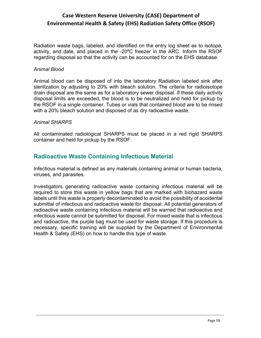Radiation waste bags, labeled, and identified on the entry log sheet as to isotope, activity, and date, and placed in the -20ºC freezer in the ARC. Inform the RSOF regarding disposal so that the activity can be accounted for on the EHS database.

#### *Animal Blood*

Animal blood can be disposed of into the laboratory Radiation labeled sink after sterilization by adjusting to 20% with bleach solution. The criteria for radioisotope drain disposal are the same as for a laboratory sewer disposal. If these daily activity disposal limits are exceeded, the blood is to be neutralized and held for pickup by the RSOF in a single container. Tubes or vials that contained blood are to be rinsed with a 20% bleach solution and disposed of as dry radioactive waste.

#### *Animal SHARPS*

All contaminated radiological SHARPS must be placed in a red rigid SHARPS container and held for pickup by the RSOF.

## **Radioactive Waste Containing Infectious Material**

Infectious material is defined as any materials containing animal or human bacteria, viruses, and parasites.

Investigators generating radioactive waste containing infectious material will be required to store this waste in yellow bags that are marked with biohazard waste labels until this waste is properly decontaminated to avoid the possibility of accidental submittal of infectious and radioactive waste for disposal. All potential generators of radioactive waste containing infectious material will be warned that radioactive and infectious waste cannot be submitted for disposal. For mixed waste that is infectious and radioactive, the purple bag must be used for waste storage. If this procedure is necessary, specific training will be supplied by the Department of Environmental Health & Safety (EHS) on how to handle this type of waste.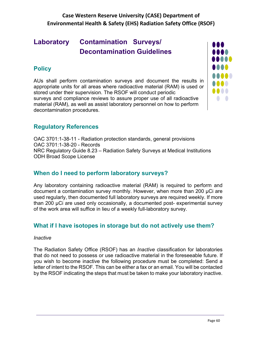# **Laboratory Contamination Surveys/ Decontamination Guidelines**

# **Policy**

AUs shall perform contamination surveys and document the results in appropriate units for all areas where radioactive material (RAM) is used or stored under their supervision. The RSOF will conduct periodic surveys and compliance reviews to assure proper use of all radioactive material (RAM), as well as assist laboratory personnel on how to perform decontamination procedures.



# **Regulatory References**

OAC 3701:1-38-11 - Radiation protection standards, general provisions OAC 3701:1-38-20 - Records NRC Regulatory Guide 8.23 – Radiation Safety Surveys at Medical Institutions ODH Broad Scope License

# **When do I need to perform laboratory surveys?**

Any laboratory containing radioactive material (RAM) is required to perform and document a contamination survey monthly. However, when more than 200 µCi are used regularly, then documented full laboratory surveys are required weekly. If more than 200 µCi are used only occasionally, a documented post- experimental survey of the work area will suffice in lieu of a weekly full-laboratory survey.

# **What if I have isotopes in storage but do not actively use them?**

#### *Inactive*

The Radiation Safety Office (RSOF) has an *Inactive* classification for laboratories that do not need to possess or use radioactive material in the foreseeable future. If you wish to become inactive the following procedure must be completed: Send a letter of intent to the RSOF. This can be either a fax or an email. You will be contacted by the RSOF indicating the steps that must be taken to make your laboratory inactive.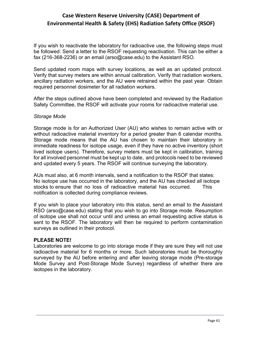If you wish to reactivate the laboratory for radioactive use, the following steps must be followed: Send a letter to the RSOF requesting reactivation. This can be either a fax (216-368-2236) or an email (arso@case.edu) to the Assistant RSO.

Send updated room maps with survey locations, as well as an updated protocol. Verify that survey meters are within annual calibration. Verify that radiation workers, ancillary radiation workers, and the AU were retrained within the past year. Obtain required personnel dosimeter for all radiation workers.

After the steps outlined above have been completed and reviewed by the Radiation Safety Committee, the RSOF will activate your rooms for radioactive material use.

#### *Storage Mode*

Storage mode is for an Authorized User (AU) who wishes to remain active with or without radioactive material inventory for a period greater than 6 calendar months. Storage mode means that the AU has chosen to maintain their laboratory in immediate readiness for isotope usage, even if they have no active inventory (short lived isotope users). Therefore, survey meters must be kept in calibration, training for all involved personnel must be kept up to date, and protocols need to be reviewed and updated every 5 years. The RSOF will continue surveying the laboratory.

AUs must also, at 6 month intervals, send a notification to the RSOF that states: No isotope use has occurred in the laboratory, and the AU has checked all isotope stocks to ensure that no loss of radioactive material has occurred. This notification is collected during compliance reviews.

If you wish to place your laboratory into this status, send an email to the Assistant RSO (arso@case.edu) stating that you wish to go into Storage mode. Resumption of isotope use shall not occur until and unless an email requesting active status is sent to the RSOF. The laboratory will then be required to perform contamination surveys as outlined in their protocol.

#### **PLEASE NOTE!**

Laboratories are welcome to go into storage mode if they are sure they will not use radioactive material for 6 months or more. Such laboratories must be thoroughly surveyed by the AU before entering and after leaving storage mode (Pre-storage Mode Survey and Post-Storage Mode Survey) regardless of whether there are isotopes in the laboratory.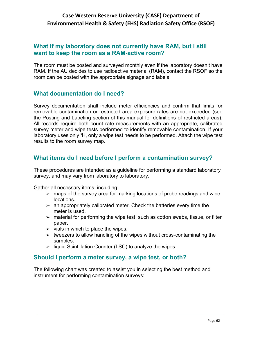## **What if my laboratory does not currently have RAM, but I still want to keep the room as a RAM-active room?**

The room must be posted and surveyed monthly even if the laboratory doesn't have RAM. If the AU decides to use radioactive material (RAM), contact the RSOF so the room can be posted with the appropriate signage and labels.

### **What documentation do I need?**

Survey documentation shall include meter efficiencies and confirm that limits for removable contamination or restricted area exposure rates are not exceeded (see the Posting and Labeling section of this manual for definitions of restricted areas). All records require both count rate measurements with an appropriate, calibrated survey meter and wipe tests performed to identify removable contamination. If your laboratory uses only <sup>3</sup>H, only a wipe test needs to be performed. Attach the wipe test results to the room survey map.

# **What items do I need before I perform a contamination survey?**

These procedures are intended as a guideline for performing a standard laboratory survey, and may vary from laboratory to laboratory.

Gather all necessary items, including:

- $\geq$  maps of the survey area for marking locations of probe readings and wipe locations.
- $\geq$  an appropriately calibrated meter. Check the batteries every time the meter is used.
- $\triangleright$  material for performing the wipe test, such as cotton swabs, tissue, or filter paper.
- $\geq$  vials in which to place the wipes.
- $\geq$  tweezers to allow handling of the wipes without cross-contaminating the samples.
- $\geq$  liquid Scintillation Counter (LSC) to analyze the wipes.

### **Should I perform a meter survey, a wipe test, or both?**

The following chart was created to assist you in selecting the best method and instrument for performing contamination surveys: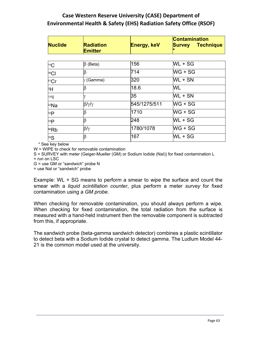| <b>Nuclide</b>   | Radiation<br><b>Emitter</b> | <b>Energy, keV</b> | <b>Contamination</b><br><b>Survey Technique</b> |
|------------------|-----------------------------|--------------------|-------------------------------------------------|
|                  |                             |                    |                                                 |
| 14C              | $\beta$ (Beta)              | 156                | $WL + SG$                                       |
| 36 <sub>CI</sub> |                             | 714                | $WG + SG$                                       |
| 51Cr             | y (Gamma)                   | 320                | $WL + SN$                                       |
| 3H               |                             | 18.6               | WL                                              |
| 125              |                             | 35                 | WL + SN                                         |
| $22$ Na          | $\beta/\gamma/\gamma$       | 545/1275/511       | WG + SG                                         |
| 32P              |                             | 1710               | $WG + SG$                                       |
| 33P              |                             | 248                | WL + SG                                         |
| 86Rb             | $\beta/\gamma$              | 1780/1078          | $WG + SG$                                       |
| 35S              |                             | 167                | WL + SG                                         |

\* See key below

W = WIPE to check for removable contamination

S = SURVEY with meter (Geiger-Mueller (GM) or Sodium Iodide (NaI)) for fixed contamination L

= run on LSC

G = use GM or "sandwich" probe N

= use NaI or "sandwich" probe

Example: WL + SG means to perform a smear to *wipe* the surface and count the smear with a *liquid scintillation counter*, plus perform a meter *survey* for fixed contamination using a *GM probe*.

When checking for removable contamination, you should always perform a wipe. When checking for fixed contamination, the total radiation from the surface is measured with a hand-held instrument then the removable component is subtracted from this, if appropriate.

The sandwich probe (beta-gamma sandwich detector) combines a plastic scintillator to detect beta with a Sodium Iodide crystal to detect gamma. The Ludlum Model 44- 21 is the common model used at the university.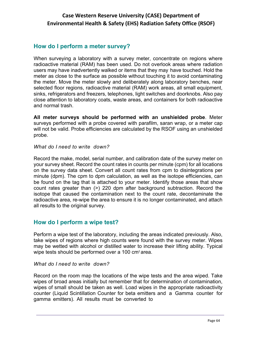# **How do I perform a meter survey?**

When surveying a laboratory with a survey meter, concentrate on regions where radioactive material (RAM) has been used. Do not overlook areas where radiation users may have inadvertently walked or items that they may have touched. Hold the meter as close to the surface as possible without touching it to avoid contaminating the meter. Move the meter slowly and deliberately along laboratory benches, near selected floor regions, radioactive material (RAM) work areas, all small equipment, sinks, refrigerators and freezers, telephones, light switches and doorknobs. Also pay close attention to laboratory coats, waste areas, and containers for both radioactive and normal trash.

**All meter surveys should be performed with an unshielded probe**. Meter surveys performed with a probe covered with parafilm, saran wrap, or a meter cap will not be valid. Probe efficiencies are calculated by the RSOF using an unshielded probe.

#### *What do I need to write down?*

Record the make, model, serial number, and calibration date of the survey meter on your survey sheet. Record the count rates in counts per minute (cpm) for all locations on the survey data sheet. Convert all count rates from cpm to disintegrations per minute (dpm). The cpm to dpm calculation, as well as the isotope efficiencies, can be found on the tag that is attached to your meter. Identify those areas that show count rates greater than (>) 220 dpm after background subtraction. Record the isotope that caused the contamination next to the count rate, decontaminate the radioactive area, re-wipe the area to ensure it is no longer contaminated, and attach all results to the original survey.

### **How do I perform a wipe test?**

Perform a wipe test of the laboratory, including the areas indicated previously. Also, take wipes of regions where high counts were found with the survey meter. Wipes may be wetted with alcohol or distilled water to increase their lifting ability. Typical wipe tests should be performed over a 100 cm<sup>2</sup> area.

#### *What do I need to write down?*

Record on the room map the locations of the wipe tests and the area wiped. Take wipes of broad areas initially but remember that for determination of contamination, wipes of small should be taken as well. Load wipes in the appropriate radioactivity counter (Liquid Scintillation Counter for beta emitters and a Gamma counter for gamma emitters). All results must be converted to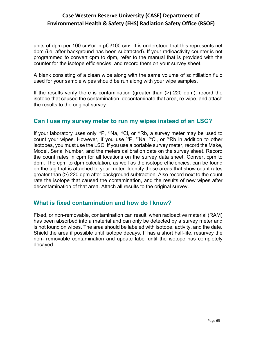units of dpm per 100 cm<sup>2</sup> or in  $\mu$ Ci/100 cm<sup>2</sup>. It is understood that this represents net dpm (i.e. after background has been subtracted). If your radioactivity counter is not programmed to convert cpm to dpm, refer to the manual that is provided with the counter for the isotope efficiencies, and record them on your survey sheet.

A blank consisting of a clean wipe along with the same volume of scintillation fluid used for your sample wipes should be run along with your wipe samples.

If the results verify there is contamination (greater than  $(>)$  220 dpm), record the isotope that caused the contamination, decontaminate that area, re-wipe, and attach the results to the original survey.

### **Can I use my survey meter to run my wipes instead of an LSC?**

If your laboratory uses only  $^{32}P$ ,  $^{22}Na$ ,  $^{36}Cl$ , or  $^{86}Rb$ , a survey meter may be used to count your wipes. However, if you use <sup>32</sup>P, <sup>22</sup>Na, <sup>36</sup>Cl, or <sup>86</sup>Rb in addition to other isotopes, you must use the LSC. If you use a portable survey meter, record the Make, Model, Serial Number, and the meters calibration date on the survey sheet. Record the count rates in cpm for all locations on the survey data sheet. Convert cpm to dpm. The cpm to dpm calculation, as well as the isotope efficiencies, can be found on the tag that is attached to your meter. Identify those areas that show count rates greater than (>) 220 dpm after background subtraction. Also record next to the count rate the isotope that caused the contamination, and the results of new wipes after decontamination of that area. Attach all results to the original survey.

#### **What is fixed contamination and how do I know?**

Fixed, or non-removable, contamination can result when radioactive material (RAM) has been absorbed into a material and can only be detected by a survey meter and is not found on wipes. The area should be labeled with isotope, activity, and the date. Shield the area if possible until isotope decays. If has a short half-life, resurvey the non- removable contamination and update label until the isotope has completely decayed.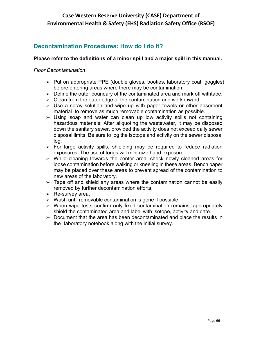# **Decontamination Procedures: How do I do it?**

#### **Please refer to the definitions of a minor spill and a major spill in this manual.**

#### *Floor Decontamination*

- ➢ Put on appropriate PPE (double gloves, booties, laboratory coat, goggles) before entering areas where there may be contamination.
- $\geq$  Define the outer boundary of the contaminated area and mark off with tape.
- $\geq$  Clean from the outer edge of the contamination and work inward.
- $\geq$  Use a spray solution and wipe up with paper towels or other absorbent material to remove as much removable contamination as possible.
- $\geq$  Using soap and water can clean up low activity spills not containing hazardous materials. After aliquoting the wastewater, it may be disposed down the sanitary sewer, provided the activity does not exceed daily sewer disposal limits. Be sure to log the isotope and activity on the sewer disposal log.
- $\geq$  For large activity spills, shielding may be required to reduce radiation exposures. The use of tongs will minimize hand exposure.
- $\geq$  While cleaning towards the center area, check newly cleaned areas for loose contamination before walking or kneeling in these areas. Bench paper may be placed over these areas to prevent spread of the contamination to new areas of the laboratory.
- $\geq$  Tape off and shield any areas where the contamination cannot be easily removed by further decontamination efforts.
- $\triangleright$  Re-survey area.
- $\triangleright$  Wash until removable contamination is gone if possible.
- $\triangleright$  When wipe tests confirm only fixed contamination remains, appropriately shield the contaminated area and label with isotope, activity and date.
- $\geq$  Document that the area has been decontaminated and place the results in the laboratory notebook along with the initial survey.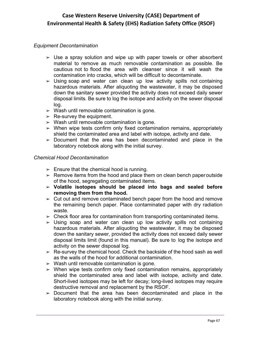#### *Equipment Decontamination*

- $\triangleright$  Use a spray solution and wipe up with paper towels or other absorbent material to remove as much removable contamination as possible. Be cautious not to flood the area with cleanser since it will wash the contamination into cracks, which will be difficult to decontaminate.
- $\geq$  Using soap and water can clean up low activity spills not containing hazardous materials. After aliquoting the wastewater, it may be disposed down the sanitary sewer provided the activity does not exceed daily sewer disposal limits. Be sure to log the isotope and activity on the sewer disposal log.
- $\triangleright$  Wash until removable contamination is gone.
- $\geq$  Re-survey the equipment.
- $\geq$  Wash until removable contamination is gone.
- $\triangleright$  When wipe tests confirm only fixed contamination remains, appropriately shield the contaminated area and label with isotope, activity and date.
- $\geq$  Document that the area has been decontaminated and place in the laboratory notebook along with the initial survey.

#### *Chemical Hood Decontamination*

- $\geq$  Ensure that the chemical hood is running.
- $\geq$  Remove items from the hood and place them on clean bench paper outside of the hood, segregating contaminated items.
- ➢ **Volatile isotopes should be placed into bags and sealed before removing them from the hood.**
- $\geq$  Cut out and remove contaminated bench paper from the hood and remove the remaining bench paper. Place contaminated paper with dry radiation waste.
- $\geq$  Check floor area for contamination from transporting contaminated items.
- $\geq$  Using soap and water can clean up low activity spills not containing hazardous materials. After aliquoting the wastewater, it may be disposed down the sanitary sewer, provided the activity does not exceed daily sewer disposal limits limit (found in this manual). Be sure to log the isotope and activity on the sewer disposal log.
- $\geq$  Re-survey the chemical hood. Check the backside of the hood sash as well as the walls of the hood for additional contamination.
- $\triangleright$  Wash until removable contamination is gone.
- $\triangleright$  When wipe tests confirm only fixed contamination remains, appropriately shield the contaminated area and label with isotope, activity and date. Short-lived isotopes may be left for decay; long-lived isotopes may require destructive removal and replacement by the RSOF.
- $\geq$  Document that the area has been decontaminated and place in the laboratory notebook along with the initial survey.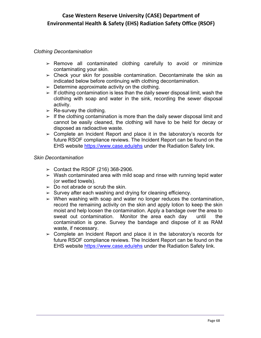#### *Clothing Decontamination*

- $\geq$  Remove all contaminated clothing carefully to avoid or minimize contaminating your skin.
- $\geq$  Check your skin for possible contamination. Decontaminate the skin as indicated below before continuing with clothing decontamination.
- $\geq$  Determine approximate activity on the clothing.
- $\triangleright$  If clothing contamination is less than the daily sewer disposal limit, wash the clothing with soap and water in the sink, recording the sewer disposal activity.
- $\triangleright$  Re-survey the clothing.
- $\geq$  If the clothing contamination is more than the daily sewer disposal limit and cannot be easily cleaned, the clothing will have to be held for decay or disposed as radioactive waste.
- $\geq$  Complete an Incident Report and place it in the laboratory's records for future RSOF compliance reviews. The Incident Report can be found on the EHS website https://www.case.edu/ehs under the Radiation Safety link.

#### *Skin Decontamination*

- $\geq$  Contact the RSOF (216) 368-2906.
- $\triangleright$  Wash contaminated area with mild soap and rinse with running tepid water (or wetted towels).
- $\geq$  Do not abrade or scrub the skin.
- $\geq$  Survey after each washing and drying for cleaning efficiency.
- $\triangleright$  When washing with soap and water no longer reduces the contamination, record the remaining activity on the skin and apply lotion to keep the skin moist and help loosen the contamination. Apply a bandage over the area to sweat out contamination. Monitor the area each day until the contamination is gone. Survey the bandage and dispose of it as RAM waste, if necessary.
- $\geq$  Complete an Incident Report and place it in the laboratory's records for future RSOF compliance reviews. The Incident Report can be found on the EHS website https://www.case.edu/ehs under the Radiation Safety link.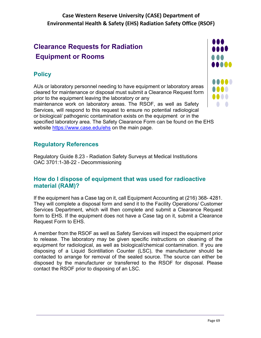# **Clearance Requests for Radiation Equipment or Rooms**

# **Policy**

AUs or laboratory personnel needing to have equipment or laboratory areas cleared for maintenance or disposal must submit a Clearance Request form prior to the equipment leaving the laboratory or any maintenance work on laboratory areas. The RSOF, as well as Safety Services, will respond to this request to ensure no potential radiological



or biological/ pathogenic contamination exists on the equipment or in the specified laboratory area. The Safety Clearance Form can be found on the EHS website https://www.case.edu/ehs on the main page.

# **Regulatory References**

Regulatory Guide 8.23 - Radiation Safety Surveys at Medical Institutions OAC 3701:1-38-22 - Decommissioning

# **How do I dispose of equipment that was used for radioactive material (RAM)?**

If the equipment has a Case tag on it, call Equipment Accounting at (216) 368- 4281. They will complete a disposal form and send it to the Facility Operations/ Customer Services Department, which will then complete and submit a Clearance Request form to EHS. If the equipment does not have a Case tag on it, submit a Clearance Request Form to EHS.

A member from the RSOF as well as Safety Services will inspect the equipment prior to release. The laboratory may be given specific instructions on cleaning of the equipment for radiological, as well as biological/chemical contamination. If you are disposing of a Liquid Scintillation Counter (LSC), the manufacturer should be contacted to arrange for removal of the sealed source. The source can either be disposed by the manufacturer or transferred to the RSOF for disposal. Please contact the RSOF prior to disposing of an LSC.